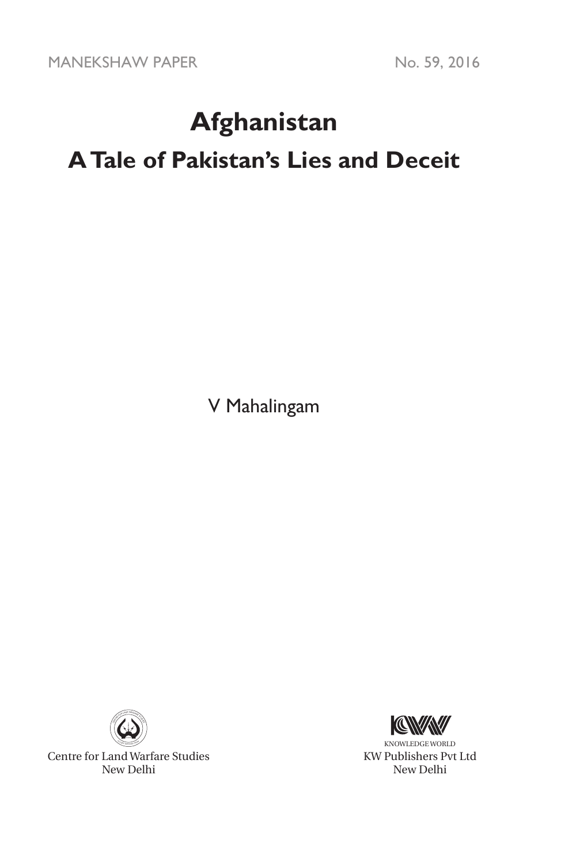MANEKSHAW PAPER No. 59, 2016

# **Afghanistan**

# **A Tale of Pakistan's Lies and Deceit**

V Mahalingam



Centre for Land Warfare Studies New Delhi



KNOWLEDGE WORLD KW Publishers Pvt Ltd New Delhi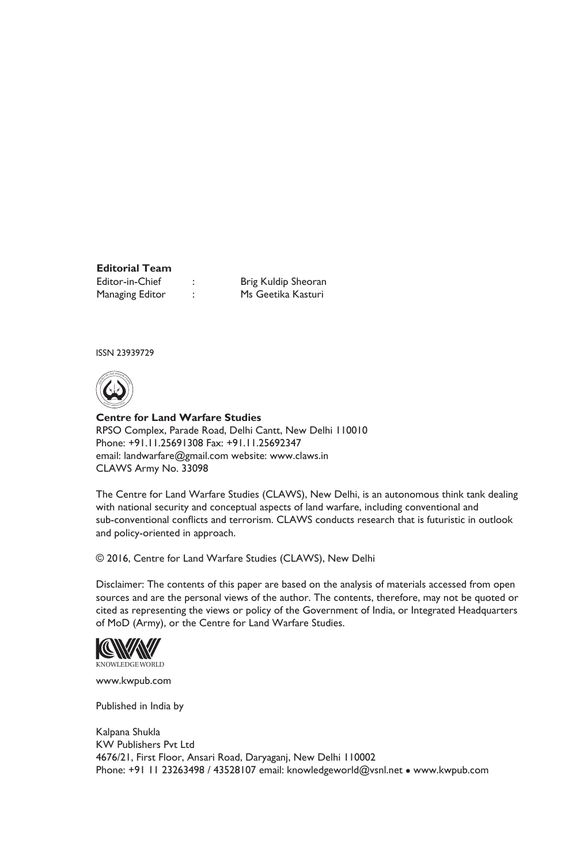# **Editorial Team**

Managing Editor : Ms Geetika Kasturi

Editor-in-Chief : Brig Kuldip Sheoran

ISSN 23939729



**Centre for Land Warfare Studies**  RPSO Complex, Parade Road, Delhi Cantt, New Delhi 110010 Phone: +91.11.25691308 Fax: +91.11.25692347 email: landwarfare@gmail.com website: www.claws.in CLAWS Army No. 33098

The Centre for Land Warfare Studies (CLAWS), New Delhi, is an autonomous think tank dealing with national security and conceptual aspects of land warfare, including conventional and sub-conventional conflicts and terrorism. CLAWS conducts research that is futuristic in outlook and policy-oriented in approach.

© 2016, Centre for Land Warfare Studies (CLAWS), New Delhi

Disclaimer: The contents of this paper are based on the analysis of materials accessed from open sources and are the personal views of the author. The contents, therefore, may not be quoted or cited as representing the views or policy of the Government of India, or Integrated Headquarters of MoD (Army), or the Centre for Land Warfare Studies.



www.kwpub.com

Published in India by

Kalpana Shukla KW Publishers Pvt Ltd 4676/21, First Floor, Ansari Road, Daryaganj, New Delhi 110002 Phone: +91 11 23263498 / 43528107 email: knowledgeworld@vsnl.net • www.kwpub.com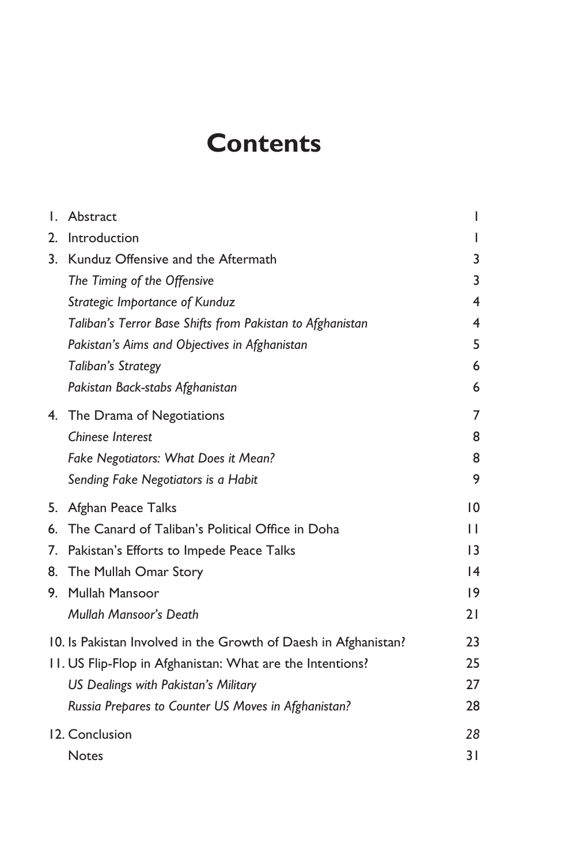# **Contents**

| $\mathbf{L}$ | Abstract                                                        | L                       |
|--------------|-----------------------------------------------------------------|-------------------------|
| 2.           | Introduction                                                    |                         |
|              | 3. Kunduz Offensive and the Aftermath                           | 3                       |
|              | The Timing of the Offensive                                     | 3                       |
|              | Strategic Importance of Kunduz                                  | $\overline{\mathbf{4}}$ |
|              | Taliban's Terror Base Shifts from Pakistan to Afghanistan       | 4                       |
|              | Pakistan's Aims and Objectives in Afghanistan                   | 5                       |
|              | Taliban's Strategy                                              | 6                       |
|              | Pakistan Back-stabs Afghanistan                                 | 6                       |
|              | 4. The Drama of Negotiations                                    | 7                       |
|              | <b>Chinese Interest</b>                                         | 8                       |
|              | Fake Negotiators: What Does it Mean?                            | 8                       |
|              | Sending Fake Negotiators is a Habit                             | 9                       |
|              | 5. Afghan Peace Talks                                           | 10                      |
|              | 6. The Canard of Taliban's Political Office in Doha             | П                       |
|              | 7. Pakistan's Efforts to Impede Peace Talks                     | $\overline{13}$         |
|              | 8. The Mullah Omar Story                                        | 4                       |
|              | 9. Mullah Mansoor                                               | 19                      |
|              | Mullah Mansoor's Death                                          | 21                      |
|              | 10. Is Pakistan Involved in the Growth of Daesh in Afghanistan? | 23                      |
|              | 11. US Flip-Flop in Afghanistan: What are the Intentions?       | 25                      |
|              | US Dealings with Pakistan's Military                            | 27                      |
|              | Russia Prepares to Counter US Moves in Afghanistan?             | 28                      |
|              | 12. Conclusion                                                  | 28                      |
|              | <b>Notes</b>                                                    | 31                      |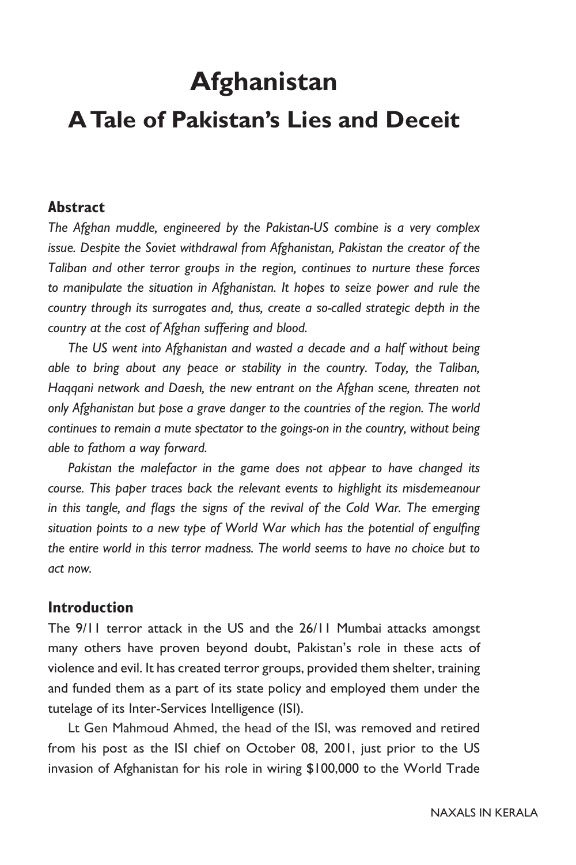# **Afghanistan**

# **A Tale of Pakistan's Lies and Deceit**

#### **Abstract**

*The Afghan muddle, engineered by the Pakistan-US combine is a very complex issue. Despite the Soviet withdrawal from Afghanistan, Pakistan the creator of the Taliban and other terror groups in the region, continues to nurture these forces*  to manipulate the situation in Afghanistan. It hopes to seize power and rule the *country through its surrogates and, thus, create a so-called strategic depth in the country at the cost of Afghan suffering and blood.* 

*The US went into Afghanistan and wasted a decade and a half without being able to bring about any peace or stability in the country. Today, the Taliban, Haqqani network and Daesh, the new entrant on the Afghan scene, threaten not only Afghanistan but pose a grave danger to the countries of the region. The world continues to remain a mute spectator to the goings-on in the country, without being able to fathom a way forward.* 

*Pakistan the malefactor in the game does not appear to have changed its course. This paper traces back the relevant events to highlight its misdemeanour in this tangle, and flags the signs of the revival of the Cold War. The emerging situation points to a new type of World War which has the potential of engulfing the entire world in this terror madness. The world seems to have no choice but to act now.* 

#### **Introduction**

The 9/11 terror attack in the US and the 26/11 Mumbai attacks amongst many others have proven beyond doubt, Pakistan's role in these acts of violence and evil. It has created terror groups, provided them shelter, training and funded them as a part of its state policy and employed them under the tutelage of its Inter-Services Intelligence (ISI).

Lt Gen Mahmoud Ahmed, the head of the ISI, was removed and retired from his post as the ISI chief on October 08, 2001, just prior to the US invasion of Afghanistan for his role in wiring \$100,000 to the World Trade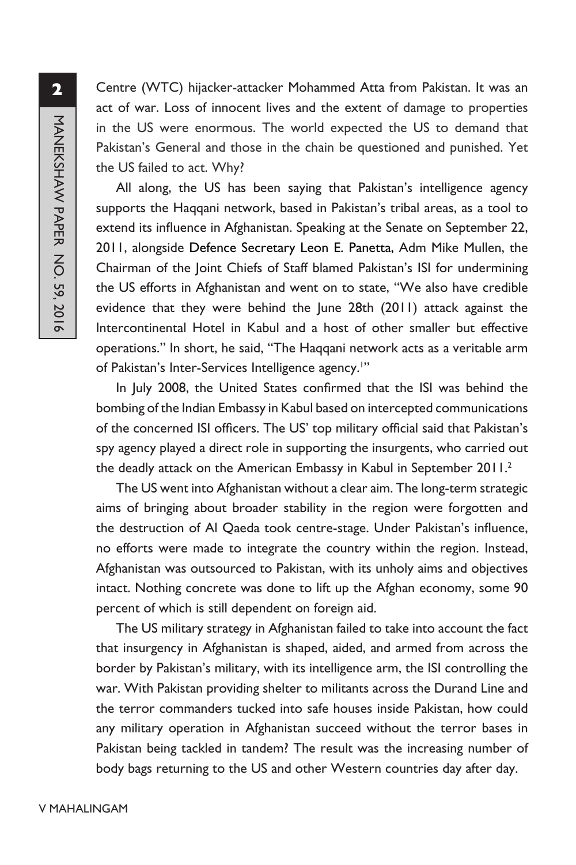Centre (WTC) hijacker-attacker Mohammed Atta from Pakistan. It was an act of war. Loss of innocent lives and the extent of damage to properties in the US were enormous. The world expected the US to demand that Pakistan's General and those in the chain be questioned and punished. Yet the US failed to act. Why?

All along, the US has been saying that Pakistan's intelligence agency supports the Haqqani network, based in Pakistan's tribal areas, as a tool to extend its influence in Afghanistan. Speaking at the Senate on September 22, 2011, alongside Defence Secretary Leon E. Panetta, Adm Mike Mullen, the Chairman of the Joint Chiefs of Staff blamed Pakistan's ISI for undermining the US efforts in Afghanistan and went on to state, "We also have credible evidence that they were behind the June 28th (2011) attack against the Intercontinental Hotel in Kabul and a host of other smaller but effective operations." In short, he said, "The Haqqani network acts as a veritable arm of Pakistan's Inter-Services Intelligence agency.<sup>11</sup>

In July 2008, the United States confirmed that the ISI was behind the bombing of the Indian Embassy in Kabul based on intercepted communications of the concerned ISI officers. The US' top military official said that Pakistan's spy agency played a direct role in supporting the insurgents, who carried out the deadly attack on the American Embassy in Kabul in September 2011.<sup>2</sup>

The US went into Afghanistan without a clear aim. The long-term strategic aims of bringing about broader stability in the region were forgotten and the destruction of Al Qaeda took centre-stage. Under Pakistan's influence, no efforts were made to integrate the country within the region. Instead, Afghanistan was outsourced to Pakistan, with its unholy aims and objectives intact. Nothing concrete was done to lift up the Afghan economy, some 90 percent of which is still dependent on foreign aid.

The US military strategy in Afghanistan failed to take into account the fact that insurgency in Afghanistan is shaped, aided, and armed from across the border by Pakistan's military, with its intelligence arm, the ISI controlling the war. With Pakistan providing shelter to militants across the Durand Line and the terror commanders tucked into safe houses inside Pakistan, how could any military operation in Afghanistan succeed without the terror bases in Pakistan being tackled in tandem? The result was the increasing number of body bags returning to the US and other Western countries day after day.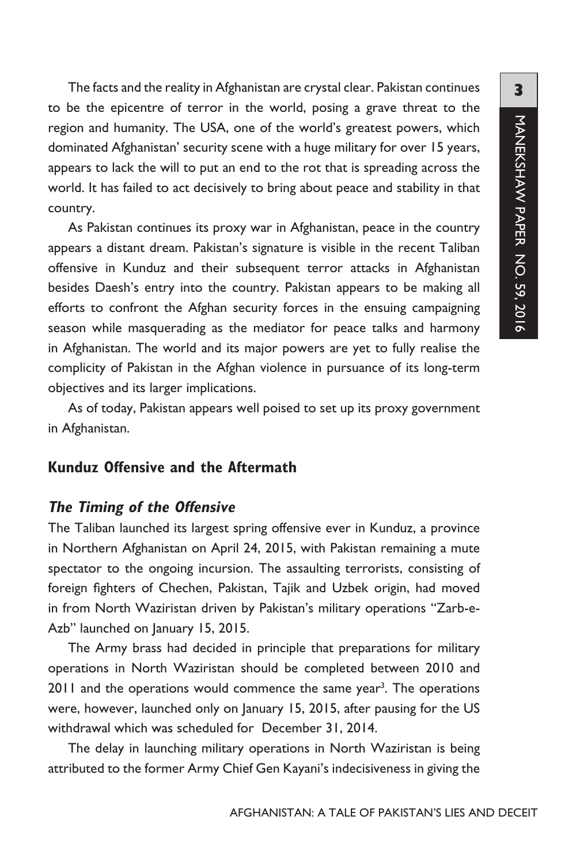The facts and the reality in Afghanistan are crystal clear. Pakistan continues to be the epicentre of terror in the world, posing a grave threat to the region and humanity. The USA, one of the world's greatest powers, which dominated Afghanistan' security scene with a huge military for over 15 years, appears to lack the will to put an end to the rot that is spreading across the world. It has failed to act decisively to bring about peace and stability in that country.

As Pakistan continues its proxy war in Afghanistan, peace in the country appears a distant dream. Pakistan's signature is visible in the recent Taliban offensive in Kunduz and their subsequent terror attacks in Afghanistan besides Daesh's entry into the country. Pakistan appears to be making all efforts to confront the Afghan security forces in the ensuing campaigning season while masquerading as the mediator for peace talks and harmony in Afghanistan. The world and its major powers are yet to fully realise the complicity of Pakistan in the Afghan violence in pursuance of its long-term objectives and its larger implications.

As of today, Pakistan appears well poised to set up its proxy government in Afghanistan.

#### **Kunduz Offensive and the Aftermath**

#### **The Timing of the Offensive**

The Taliban launched its largest spring offensive ever in Kunduz, a province in Northern Afghanistan on April 24, 2015, with Pakistan remaining a mute spectator to the ongoing incursion. The assaulting terrorists, consisting of foreign fighters of Chechen, Pakistan, Tajik and Uzbek origin, had moved in from North Waziristan driven by Pakistan's military operations "Zarb-e-Azb" launched on January 15, 2015.

The Army brass had decided in principle that preparations for military operations in North Waziristan should be completed between 2010 and 2011 and the operations would commence the same year<sup>3</sup>. The operations were, however, launched only on January 15, 2015, after pausing for the US withdrawal which was scheduled for December 31, 2014.

The delay in launching military operations in North Waziristan is being attributed to the former Army Chief Gen Kayani's indecisiveness in giving the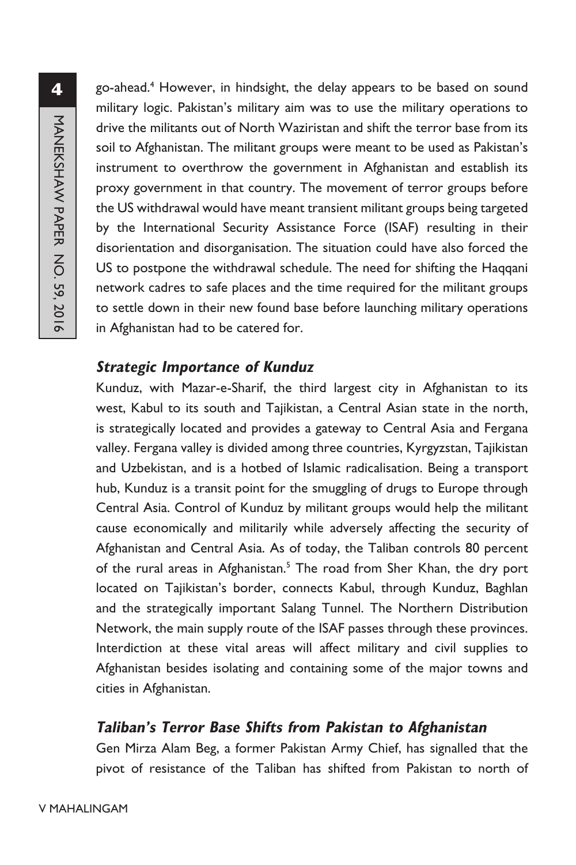go-ahead.4 However, in hindsight, the delay appears to be based on sound military logic. Pakistan's military aim was to use the military operations to drive the militants out of North Waziristan and shift the terror base from its soil to Afghanistan. The militant groups were meant to be used as Pakistan's instrument to overthrow the government in Afghanistan and establish its proxy government in that country. The movement of terror groups before the US withdrawal would have meant transient militant groups being targeted by the International Security Assistance Force (ISAF) resulting in their disorientation and disorganisation. The situation could have also forced the US to postpone the withdrawal schedule. The need for shifting the Haqqani network cadres to safe places and the time required for the militant groups to settle down in their new found base before launching military operations in Afghanistan had to be catered for.

#### **Strategic Importance of Kunduz**

Kunduz, with Mazar-e-Sharif, the third largest city in Afghanistan to its west, Kabul to its south and Tajikistan, a Central Asian state in the north, is strategically located and provides a gateway to Central Asia and Fergana valley. Fergana valley is divided among three countries, Kyrgyzstan, Tajikistan and Uzbekistan, and is a hotbed of Islamic radicalisation. Being a transport hub, Kunduz is a transit point for the smuggling of drugs to Europe through Central Asia. Control of Kunduz by militant groups would help the militant cause economically and militarily while adversely affecting the security of Afghanistan and Central Asia. As of today, the Taliban controls 80 percent of the rural areas in Afghanistan.<sup>5</sup> The road from Sher Khan, the dry port located on Tajikistan's border, connects Kabul, through Kunduz, Baghlan and the strategically important Salang Tunnel. The Northern Distribution Network, the main supply route of the ISAF passes through these provinces. Interdiction at these vital areas will affect military and civil supplies to Afghanistan besides isolating and containing some of the major towns and cities in Afghanistan.

# **Taliban's Terror Base Shifts from Pakistan to Afghanistan**

Gen Mirza Alam Beg, a former Pakistan Army Chief, has signalled that the pivot of resistance of the Taliban has shifted from Pakistan to north of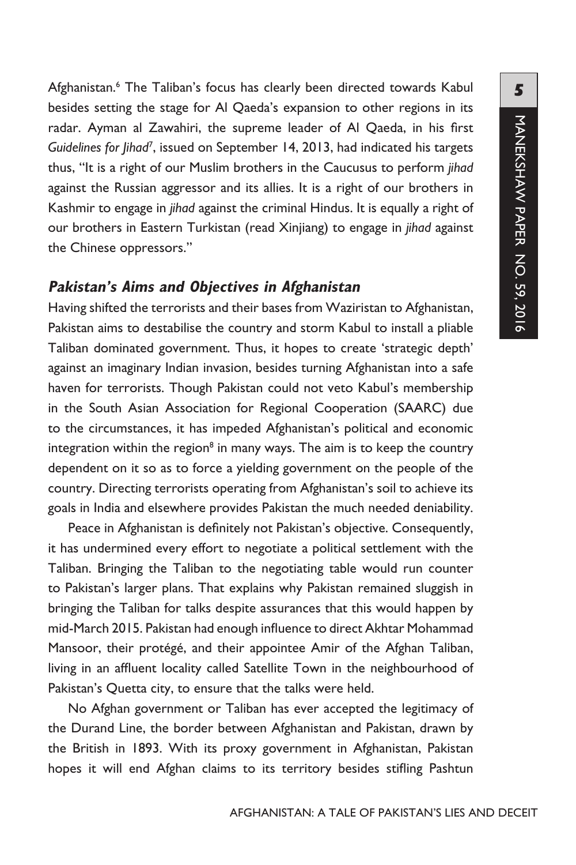Afghanistan.<sup>6</sup> The Taliban's focus has clearly been directed towards Kabul besides setting the stage for Al Qaeda's expansion to other regions in its radar. Ayman al Zawahiri, the supreme leader of Al Qaeda, in his first Guidelines for Jihad<sup>7</sup>, issued on September 14, 2013, had indicated his targets thus, "It is a right of our Muslim brothers in the Caucusus to perform *jihad* against the Russian aggressor and its allies. It is a right of our brothers in Kashmir to engage in *jihad* against the criminal Hindus. It is equally a right of our brothers in Eastern Turkistan (read Xinjiang) to engage in *jihad* against the Chinese oppressors."

#### **Pakistan's Aims and Objectives in Afghanistan**

Having shifted the terrorists and their bases from Waziristan to Afghanistan, Pakistan aims to destabilise the country and storm Kabul to install a pliable Taliban dominated government. Thus, it hopes to create 'strategic depth' against an imaginary Indian invasion, besides turning Afghanistan into a safe haven for terrorists. Though Pakistan could not veto Kabul's membership in the South Asian Association for Regional Cooperation (SAARC) due to the circumstances, it has impeded Afghanistan's political and economic integration within the region<sup>8</sup> in many ways. The aim is to keep the country dependent on it so as to force a yielding government on the people of the country. Directing terrorists operating from Afghanistan's soil to achieve its goals in India and elsewhere provides Pakistan the much needed deniability.

Peace in Afghanistan is definitely not Pakistan's objective. Consequently, it has undermined every effort to negotiate a political settlement with the Taliban. Bringing the Taliban to the negotiating table would run counter to Pakistan's larger plans. That explains why Pakistan remained sluggish in bringing the Taliban for talks despite assurances that this would happen by mid-March 2015. Pakistan had enough influence to direct Akhtar Mohammad Mansoor, their protégé, and their appointee Amir of the Afghan Taliban, living in an affluent locality called Satellite Town in the neighbourhood of Pakistan's Quetta city, to ensure that the talks were held.

No Afghan government or Taliban has ever accepted the legitimacy of the Durand Line, the border between Afghanistan and Pakistan, drawn by the British in 1893. With its proxy government in Afghanistan, Pakistan hopes it will end Afghan claims to its territory besides stifling Pashtun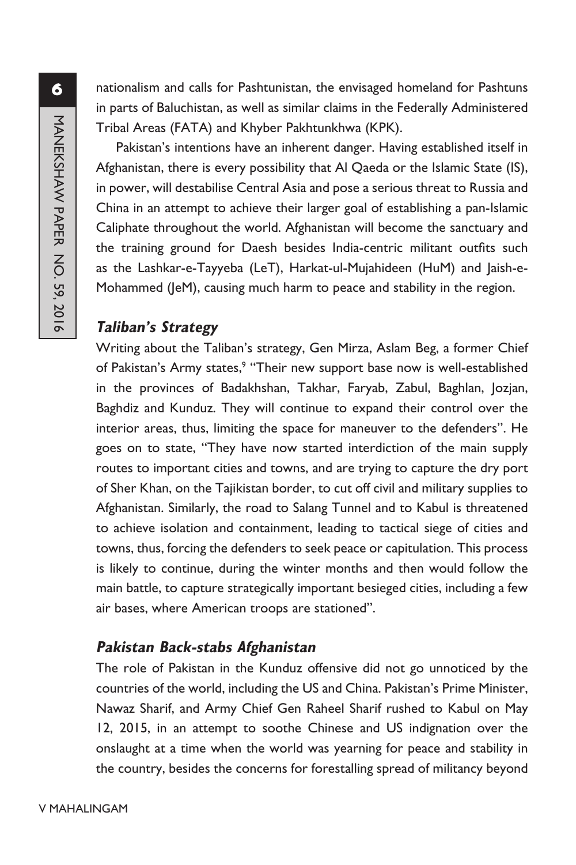nationalism and calls for Pashtunistan, the envisaged homeland for Pashtuns in parts of Baluchistan, as well as similar claims in the Federally Administered Tribal Areas (FATA) and Khyber Pakhtunkhwa (KPK).

Pakistan's intentions have an inherent danger. Having established itself in Afghanistan, there is every possibility that Al Qaeda or the Islamic State (IS), in power, will destabilise Central Asia and pose a serious threat to Russia and China in an attempt to achieve their larger goal of establishing a pan-Islamic Caliphate throughout the world. Afghanistan will become the sanctuary and the training ground for Daesh besides India-centric militant outfits such as the Lashkar-e-Tayyeba (LeT), Harkat-ul-Mujahideen (HuM) and Jaish-e-Mohammed (JeM), causing much harm to peace and stability in the region.

### **Taliban's Strategy**

Writing about the Taliban's strategy, Gen Mirza, Aslam Beg, a former Chief of Pakistan's Army states,<sup>9</sup> "Their new support base now is well-established in the provinces of Badakhshan, Takhar, Faryab, Zabul, Baghlan, Jozjan, Baghdiz and Kunduz. They will continue to expand their control over the interior areas, thus, limiting the space for maneuver to the defenders". He goes on to state, "They have now started interdiction of the main supply routes to important cities and towns, and are trying to capture the dry port of Sher Khan, on the Tajikistan border, to cut off civil and military supplies to Afghanistan. Similarly, the road to Salang Tunnel and to Kabul is threatened to achieve isolation and containment, leading to tactical siege of cities and towns, thus, forcing the defenders to seek peace or capitulation. This process is likely to continue, during the winter months and then would follow the main battle, to capture strategically important besieged cities, including a few air bases, where American troops are stationed".

# **Pakistan Back-stabs Afghanistan**

The role of Pakistan in the Kunduz offensive did not go unnoticed by the countries of the world, including the US and China. Pakistan's Prime Minister, Nawaz Sharif, and Army Chief Gen Raheel Sharif rushed to Kabul on May 12, 2015, in an attempt to soothe Chinese and US indignation over the onslaught at a time when the world was yearning for peace and stability in the country, besides the concerns for forestalling spread of militancy beyond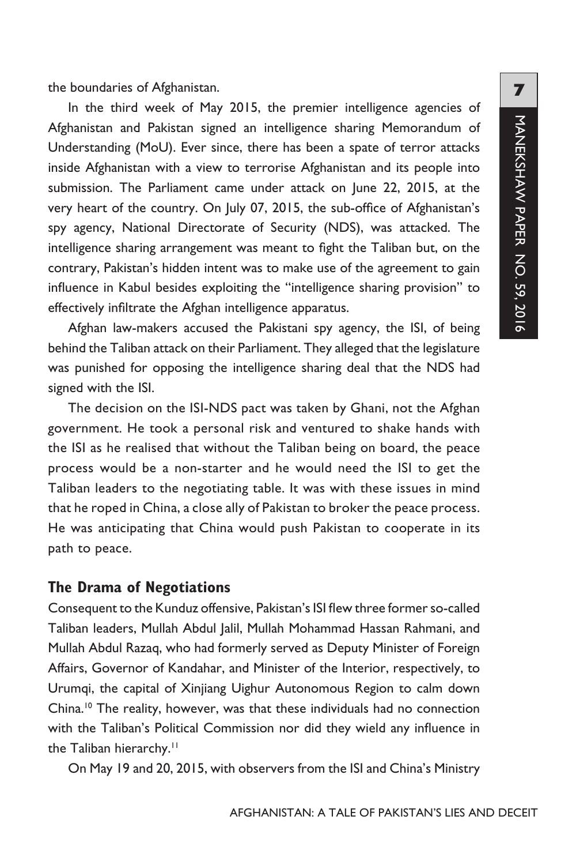the boundaries of Afghanistan.

In the third week of May 2015, the premier intelligence agencies of Afghanistan and Pakistan signed an intelligence sharing Memorandum of Understanding (MoU). Ever since, there has been a spate of terror attacks inside Afghanistan with a view to terrorise Afghanistan and its people into submission. The Parliament came under attack on June 22, 2015, at the very heart of the country. On July 07, 2015, the sub-office of Afghanistan's spy agency, National Directorate of Security (NDS), was attacked. The intelligence sharing arrangement was meant to fight the Taliban but, on the contrary, Pakistan's hidden intent was to make use of the agreement to gain influence in Kabul besides exploiting the "intelligence sharing provision" to effectively infiltrate the Afghan intelligence apparatus.

Afghan law-makers accused the Pakistani spy agency, the ISI, of being behind the Taliban attack on their Parliament. They alleged that the legislature was punished for opposing the intelligence sharing deal that the NDS had signed with the ISI.

The decision on the ISI-NDS pact was taken by Ghani, not the Afghan government. He took a personal risk and ventured to shake hands with the ISI as he realised that without the Taliban being on board, the peace process would be a non-starter and he would need the ISI to get the Taliban leaders to the negotiating table. It was with these issues in mind that he roped in China, a close ally of Pakistan to broker the peace process. He was anticipating that China would push Pakistan to cooperate in its path to peace.

#### **The Drama of Negotiations**

Consequent to the Kunduz offensive, Pakistan's ISI flew three former so-called Taliban leaders, Mullah Abdul Jalil, Mullah Mohammad Hassan Rahmani, and Mullah Abdul Razaq, who had formerly served as Deputy Minister of Foreign Affairs, Governor of Kandahar, and Minister of the Interior, respectively, to Urumqi, the capital of Xinjiang Uighur Autonomous Region to calm down China.10 The reality, however, was that these individuals had no connection with the Taliban's Political Commission nor did they wield any influence in the Taliban hierarchy.<sup>11</sup>

On May 19 and 20, 2015, with observers from the ISI and China's Ministry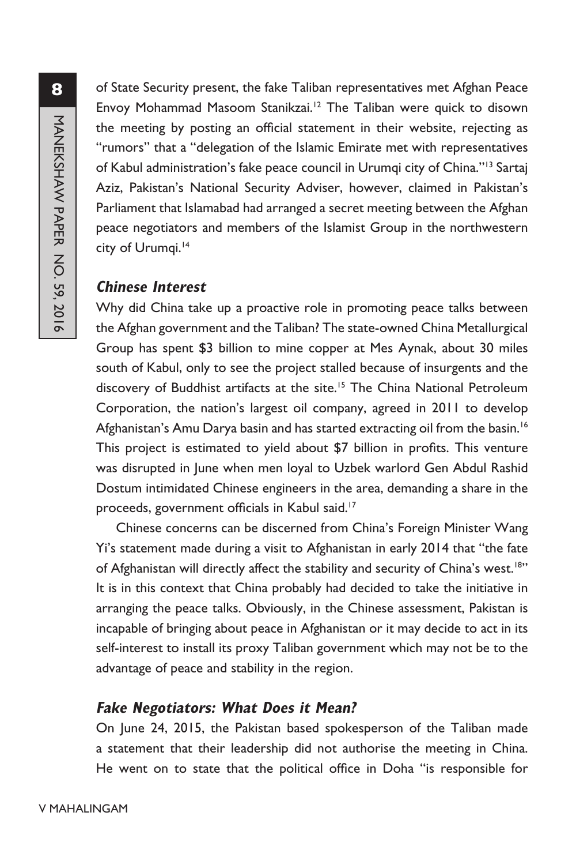of State Security present, the fake Taliban representatives met Afghan Peace Envoy Mohammad Masoom Stanikzai.12 The Taliban were quick to disown the meeting by posting an official statement in their website, rejecting as "rumors" that a "delegation of the Islamic Emirate met with representatives of Kabul administration's fake peace council in Urumqi city of China."13 Sartaj Aziz, Pakistan's National Security Adviser, however, claimed in Pakistan's Parliament that Islamabad had arranged a secret meeting between the Afghan peace negotiators and members of the Islamist Group in the northwestern city of Urumqi.<sup>14</sup>

### **Chinese Interest**

Why did China take up a proactive role in promoting peace talks between the Afghan government and the Taliban? The state-owned China Metallurgical Group has spent \$3 billion to mine copper at Mes Aynak, about 30 miles south of Kabul, only to see the project stalled because of insurgents and the discovery of Buddhist artifacts at the site.<sup>15</sup> The China National Petroleum Corporation, the nation's largest oil company, agreed in 2011 to develop Afghanistan's Amu Darya basin and has started extracting oil from the basin.<sup>16</sup> This project is estimated to yield about \$7 billion in profits. This venture was disrupted in June when men loyal to Uzbek warlord Gen Abdul Rashid Dostum intimidated Chinese engineers in the area, demanding a share in the proceeds, government officials in Kabul said.<sup>17</sup>

Chinese concerns can be discerned from China's Foreign Minister Wang Yi's statement made during a visit to Afghanistan in early 2014 that "the fate of Afghanistan will directly affect the stability and security of China's west.<sup>18"</sup> It is in this context that China probably had decided to take the initiative in arranging the peace talks. Obviously, in the Chinese assessment, Pakistan is incapable of bringing about peace in Afghanistan or it may decide to act in its self-interest to install its proxy Taliban government which may not be to the advantage of peace and stability in the region.

#### **Fake Negotiators: What Does it Mean?**

On June 24, 2015, the Pakistan based spokesperson of the Taliban made a statement that their leadership did not authorise the meeting in China. He went on to state that the political office in Doha "is responsible for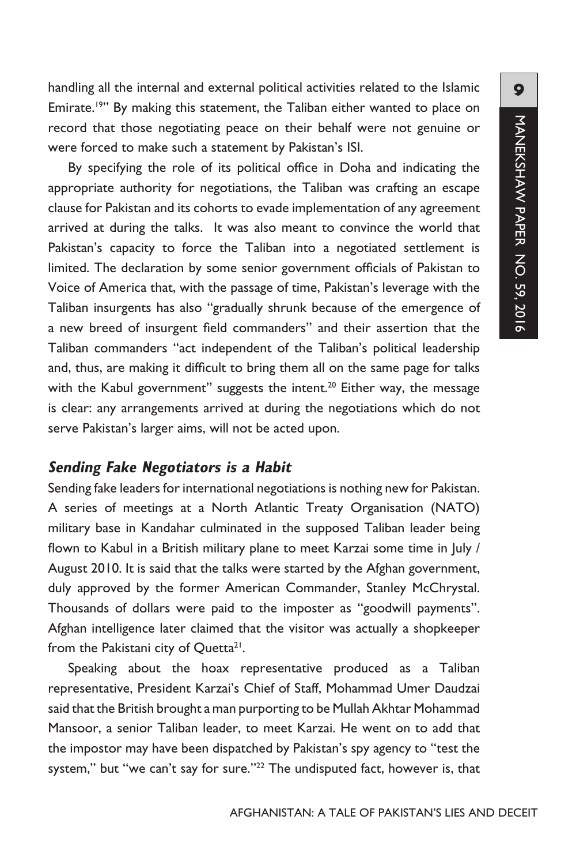handling all the internal and external political activities related to the Islamic Emirate.<sup>19"</sup> By making this statement, the Taliban either wanted to place on record that those negotiating peace on their behalf were not genuine or were forced to make such a statement by Pakistan's ISI.

By specifying the role of its political office in Doha and indicating the appropriate authority for negotiations, the Taliban was crafting an escape clause for Pakistan and its cohorts to evade implementation of any agreement arrived at during the talks. It was also meant to convince the world that Pakistan's capacity to force the Taliban into a negotiated settlement is limited. The declaration by some senior government officials of Pakistan to Voice of America that, with the passage of time, Pakistan's leverage with the Taliban insurgents has also "gradually shrunk because of the emergence of a new breed of insurgent field commanders" and their assertion that the Taliban commanders "act independent of the Taliban's political leadership and, thus, are making it difficult to bring them all on the same page for talks with the Kabul government" suggests the intent.<sup>20</sup> Either way, the message is clear: any arrangements arrived at during the negotiations which do not serve Pakistan's larger aims, will not be acted upon.

#### **Sending Fake Negotiators is a Habit**

Sending fake leaders for international negotiations is nothing new for Pakistan. A series of meetings at a North Atlantic Treaty Organisation (NATO) military base in Kandahar culminated in the supposed Taliban leader being flown to Kabul in a British military plane to meet Karzai some time in July / August 2010. It is said that the talks were started by the Afghan government, duly approved by the former American Commander, Stanley McChrystal. Thousands of dollars were paid to the imposter as "goodwill payments". Afghan intelligence later claimed that the visitor was actually a shopkeeper from the Pakistani city of Quetta<sup>21</sup>.

Speaking about the hoax representative produced as a Taliban representative, President Karzai's Chief of Staff, Mohammad Umer Daudzai said that the British brought a man purporting to be Mullah Akhtar Mohammad Mansoor, a senior Taliban leader, to meet Karzai. He went on to add that the impostor may have been dispatched by Pakistan's spy agency to "test the system," but "we can't say for sure."<sup>22</sup> The undisputed fact, however is, that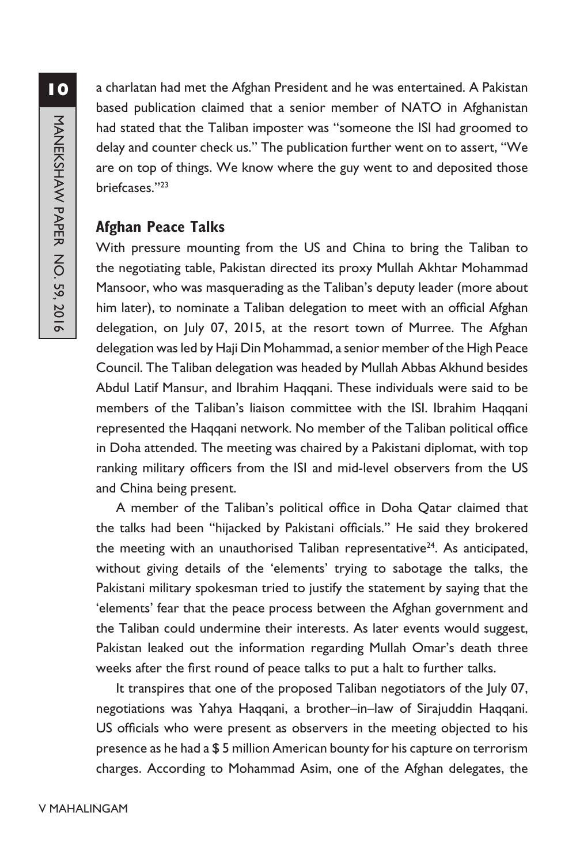a charlatan had met the Afghan President and he was entertained. A Pakistan based publication claimed that a senior member of NATO in Afghanistan had stated that the Taliban imposter was "someone the ISI had groomed to delay and counter check us." The publication further went on to assert, "We are on top of things. We know where the guy went to and deposited those briefcases."23

# **Afghan Peace Talks**

With pressure mounting from the US and China to bring the Taliban to the negotiating table, Pakistan directed its proxy Mullah Akhtar Mohammad Mansoor, who was masquerading as the Taliban's deputy leader (more about him later), to nominate a Taliban delegation to meet with an official Afghan delegation, on July 07, 2015, at the resort town of Murree. The Afghan delegation was led by Haji Din Mohammad, a senior member of the High Peace Council. The Taliban delegation was headed by Mullah Abbas Akhund besides Abdul Latif Mansur, and Ibrahim Haqqani. These individuals were said to be members of the Taliban's liaison committee with the ISI. Ibrahim Haqqani represented the Haqqani network. No member of the Taliban political office in Doha attended. The meeting was chaired by a Pakistani diplomat, with top ranking military officers from the ISI and mid-level observers from the US and China being present.

A member of the Taliban's political office in Doha Qatar claimed that the talks had been "hijacked by Pakistani officials." He said they brokered the meeting with an unauthorised Taliban representative<sup>24</sup>. As anticipated, without giving details of the 'elements' trying to sabotage the talks, the Pakistani military spokesman tried to justify the statement by saying that the 'elements' fear that the peace process between the Afghan government and the Taliban could undermine their interests. As later events would suggest, Pakistan leaked out the information regarding Mullah Omar's death three weeks after the first round of peace talks to put a halt to further talks.

It transpires that one of the proposed Taliban negotiators of the July 07, negotiations was Yahya Haqqani, a brother–in–law of Sirajuddin Haqqani. US officials who were present as observers in the meeting objected to his presence as he had a \$ 5 million American bounty for his capture on terrorism charges. According to Mohammad Asim, one of the Afghan delegates, the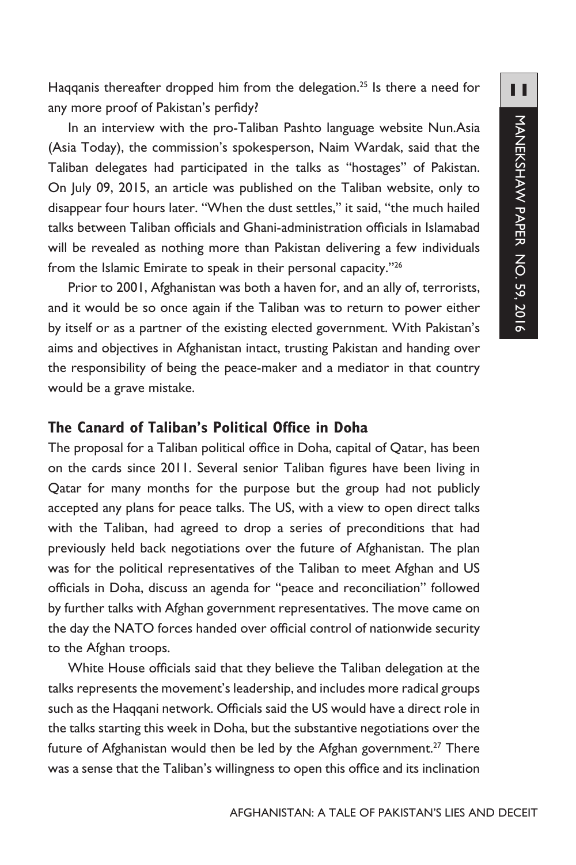Haqqanis thereafter dropped him from the delegation.<sup>25</sup> Is there a need for any more proof of Pakistan's perfidy?

In an interview with the pro-Taliban Pashto language website Nun.Asia (Asia Today), the commission's spokesperson, Naim Wardak, said that the Taliban delegates had participated in the talks as "hostages" of Pakistan. On July 09, 2015, an article was published on the Taliban website, only to disappear four hours later. "When the dust settles," it said, "the much hailed talks between Taliban officials and Ghani-administration officials in Islamabad will be revealed as nothing more than Pakistan delivering a few individuals from the Islamic Emirate to speak in their personal capacity."26

Prior to 2001, Afghanistan was both a haven for, and an ally of, terrorists, and it would be so once again if the Taliban was to return to power either by itself or as a partner of the existing elected government. With Pakistan's aims and objectives in Afghanistan intact, trusting Pakistan and handing over the responsibility of being the peace-maker and a mediator in that country would be a grave mistake.

# **The Canard of Taliban's Political Office in Doha**

The proposal for a Taliban political office in Doha, capital of Qatar, has been on the cards since 2011. Several senior Taliban figures have been living in Qatar for many months for the purpose but the group had not publicly accepted any plans for peace talks. The US, with a view to open direct talks with the Taliban, had agreed to drop a series of preconditions that had previously held back negotiations over the future of Afghanistan. The plan was for the political representatives of the Taliban to meet Afghan and US officials in Doha, discuss an agenda for "peace and reconciliation" followed by further talks with Afghan government representatives. The move came on the day the NATO forces handed over official control of nationwide security to the Afghan troops.

White House officials said that they believe the Taliban delegation at the talks represents the movement's leadership, and includes more radical groups such as the Haqqani network. Officials said the US would have a direct role in the talks starting this week in Doha, but the substantive negotiations over the future of Afghanistan would then be led by the Afghan government.<sup>27</sup> There was a sense that the Taliban's willingness to open this office and its inclination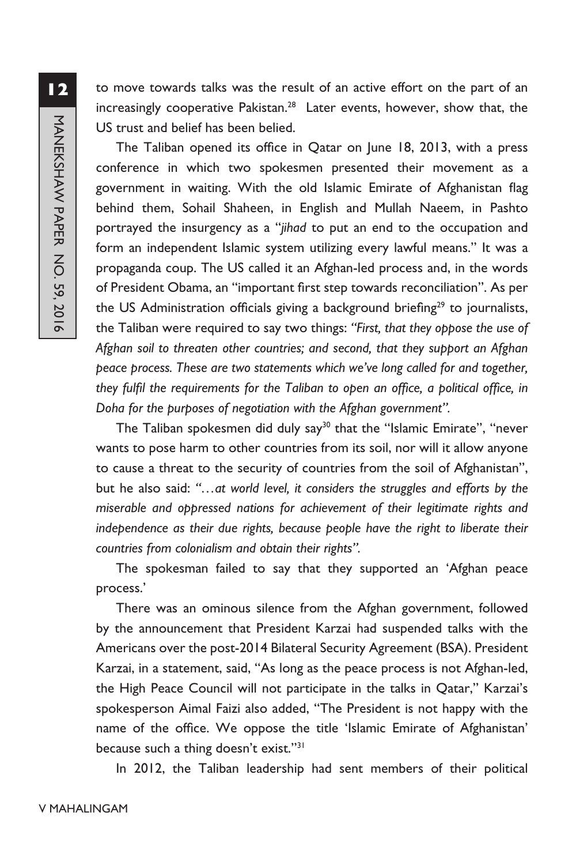to move towards talks was the result of an active effort on the part of an increasingly cooperative Pakistan.<sup>28</sup> Later events, however, show that, the US trust and belief has been belied.

The Taliban opened its office in Qatar on June 18, 2013, with a press conference in which two spokesmen presented their movement as a government in waiting. With the old Islamic Emirate of Afghanistan flag behind them, Sohail Shaheen, in English and Mullah Naeem, in Pashto portrayed the insurgency as a "*jihad* to put an end to the occupation and form an independent Islamic system utilizing every lawful means." It was a propaganda coup. The US called it an Afghan-led process and, in the words of President Obama, an "important first step towards reconciliation". As per the US Administration officials giving a background briefing<sup>29</sup> to journalists, the Taliban were required to say two things: *"First, that they oppose the use of Afghan soil to threaten other countries; and second, that they support an Afghan peace process. These are two statements which we've long called for and together, they fulfil the requirements for the Taliban to open an office, a political office, in Doha for the purposes of negotiation with the Afghan government".*

The Taliban spokesmen did duly say<sup>30</sup> that the "Islamic Emirate", "never wants to pose harm to other countries from its soil, nor will it allow anyone to cause a threat to the security of countries from the soil of Afghanistan", but he also said: *"…at world level, it considers the struggles and efforts by the miserable and oppressed nations for achievement of their legitimate rights and independence as their due rights, because people have the right to liberate their countries from colonialism and obtain their rights".* 

The spokesman failed to say that they supported an 'Afghan peace process.'

There was an ominous silence from the Afghan government, followed by the announcement that President Karzai had suspended talks with the Americans over the post-2014 Bilateral Security Agreement (BSA). President Karzai, in a statement, said, "As long as the peace process is not Afghan-led, the High Peace Council will not participate in the talks in Qatar," Karzai's spokesperson Aimal Faizi also added, "The President is not happy with the name of the office. We oppose the title 'Islamic Emirate of Afghanistan' because such a thing doesn't exist."31

In 2012, the Taliban leadership had sent members of their political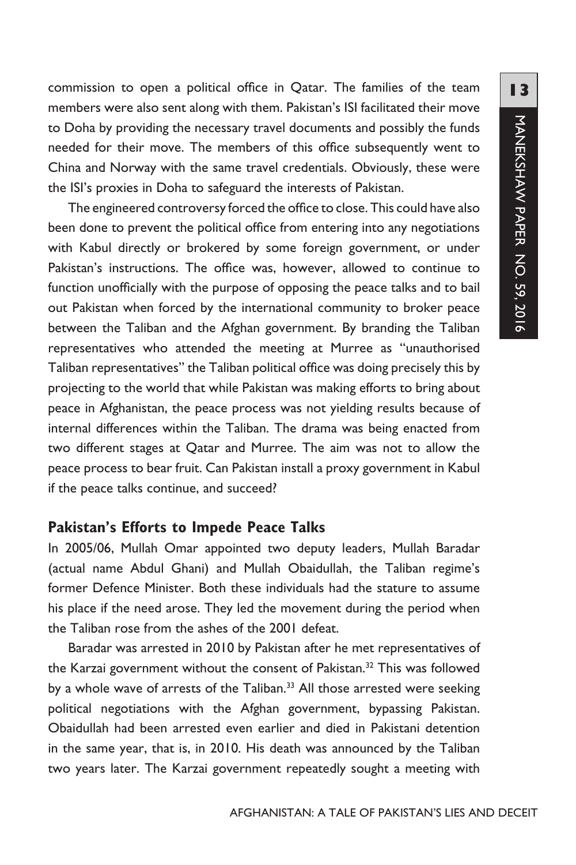commission to open a political office in Qatar. The families of the team members were also sent along with them. Pakistan's ISI facilitated their move to Doha by providing the necessary travel documents and possibly the funds needed for their move. The members of this office subsequently went to China and Norway with the same travel credentials. Obviously, these were the ISI's proxies in Doha to safeguard the interests of Pakistan.

The engineered controversy forced the office to close. This could have also been done to prevent the political office from entering into any negotiations with Kabul directly or brokered by some foreign government, or under Pakistan's instructions. The office was, however, allowed to continue to function unofficially with the purpose of opposing the peace talks and to bail out Pakistan when forced by the international community to broker peace between the Taliban and the Afghan government. By branding the Taliban representatives who attended the meeting at Murree as "unauthorised Taliban representatives" the Taliban political office was doing precisely this by projecting to the world that while Pakistan was making efforts to bring about peace in Afghanistan, the peace process was not yielding results because of internal differences within the Taliban. The drama was being enacted from two different stages at Qatar and Murree. The aim was not to allow the peace process to bear fruit. Can Pakistan install a proxy government in Kabul if the peace talks continue, and succeed?

#### **Pakistan's Efforts to Impede Peace Talks**

In 2005/06, Mullah Omar appointed two deputy leaders, Mullah Baradar (actual name Abdul Ghani) and Mullah Obaidullah, the Taliban regime's former Defence Minister. Both these individuals had the stature to assume his place if the need arose. They led the movement during the period when the Taliban rose from the ashes of the 2001 defeat.

Baradar was arrested in 2010 by Pakistan after he met representatives of the Karzai government without the consent of Pakistan.<sup>32</sup> This was followed by a whole wave of arrests of the Taliban.<sup>33</sup> All those arrested were seeking political negotiations with the Afghan government, bypassing Pakistan. Obaidullah had been arrested even earlier and died in Pakistani detention in the same year, that is, in 2010. His death was announced by the Taliban two years later. The Karzai government repeatedly sought a meeting with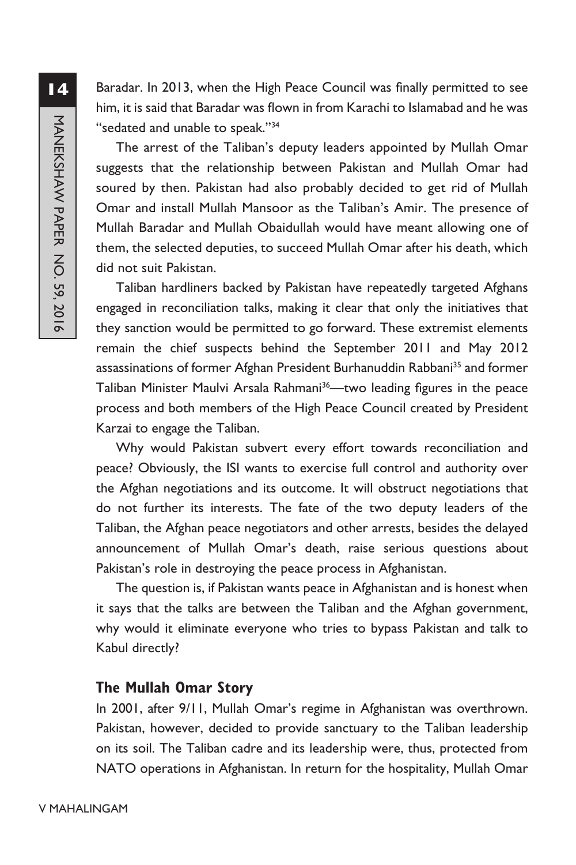Baradar. In 2013, when the High Peace Council was finally permitted to see him, it is said that Baradar was flown in from Karachi to Islamabad and he was "sedated and unable to speak."34

The arrest of the Taliban's deputy leaders appointed by Mullah Omar suggests that the relationship between Pakistan and Mullah Omar had soured by then. Pakistan had also probably decided to get rid of Mullah Omar and install Mullah Mansoor as the Taliban's Amir. The presence of Mullah Baradar and Mullah Obaidullah would have meant allowing one of them, the selected deputies, to succeed Mullah Omar after his death, which did not suit Pakistan.

Taliban hardliners backed by Pakistan have repeatedly targeted Afghans engaged in reconciliation talks, making it clear that only the initiatives that they sanction would be permitted to go forward. These extremist elements remain the chief suspects behind the September 2011 and May 2012 assassinations of former Afghan President Burhanuddin Rabbani<sup>35</sup> and former Taliban Minister Maulvi Arsala Rahmani<sup>36</sup>—two leading figures in the peace process and both members of the High Peace Council created by President Karzai to engage the Taliban.

Why would Pakistan subvert every effort towards reconciliation and peace? Obviously, the ISI wants to exercise full control and authority over the Afghan negotiations and its outcome. It will obstruct negotiations that do not further its interests. The fate of the two deputy leaders of the Taliban, the Afghan peace negotiators and other arrests, besides the delayed announcement of Mullah Omar's death, raise serious questions about Pakistan's role in destroying the peace process in Afghanistan.

The question is, if Pakistan wants peace in Afghanistan and is honest when it says that the talks are between the Taliban and the Afghan government, why would it eliminate everyone who tries to bypass Pakistan and talk to Kabul directly?

### **The Mullah Omar Story**

In 2001, after 9/11, Mullah Omar's regime in Afghanistan was overthrown. Pakistan, however, decided to provide sanctuary to the Taliban leadership on its soil. The Taliban cadre and its leadership were, thus, protected from NATO operations in Afghanistan. In return for the hospitality, Mullah Omar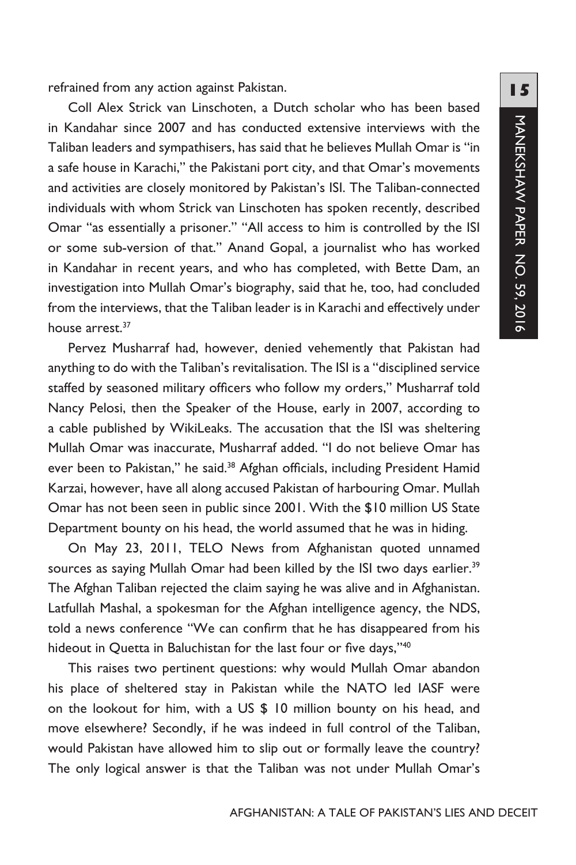refrained from any action against Pakistan.

Coll Alex Strick van Linschoten, a Dutch scholar who has been based in Kandahar since 2007 and has conducted extensive interviews with the Taliban leaders and sympathisers, has said that he believes Mullah Omar is "in a safe house in Karachi," the Pakistani port city, and that Omar's movements and activities are closely monitored by Pakistan's ISI. The Taliban-connected individuals with whom Strick van Linschoten has spoken recently, described Omar "as essentially a prisoner." "All access to him is controlled by the ISI or some sub-version of that." Anand Gopal, a journalist who has worked in Kandahar in recent years, and who has completed, with Bette Dam, an investigation into Mullah Omar's biography, said that he, too, had concluded from the interviews, that the Taliban leader is in Karachi and effectively under house arrest.37

Pervez Musharraf had, however, denied vehemently that Pakistan had anything to do with the Taliban's revitalisation. The ISI is a "disciplined service staffed by seasoned military officers who follow my orders," Musharraf told Nancy Pelosi, then the Speaker of the House, early in 2007, according to a cable published by WikiLeaks. The accusation that the ISI was sheltering Mullah Omar was inaccurate, Musharraf added. "I do not believe Omar has ever been to Pakistan," he said.<sup>38</sup> Afghan officials, including President Hamid Karzai, however, have all along accused Pakistan of harbouring Omar. Mullah Omar has not been seen in public since 2001. With the \$10 million US State Department bounty on his head, the world assumed that he was in hiding.

On May 23, 2011, TELO News from Afghanistan quoted unnamed sources as saying Mullah Omar had been killed by the ISI two days earlier.<sup>39</sup> The Afghan Taliban rejected the claim saying he was alive and in Afghanistan. Latfullah Mashal, a spokesman for the Afghan intelligence agency, the NDS, told a news conference "We can confirm that he has disappeared from his hideout in Quetta in Baluchistan for the last four or five days,"<sup>40</sup>

This raises two pertinent questions: why would Mullah Omar abandon his place of sheltered stay in Pakistan while the NATO led IASF were on the lookout for him, with a US \$ 10 million bounty on his head, and move elsewhere? Secondly, if he was indeed in full control of the Taliban, would Pakistan have allowed him to slip out or formally leave the country? The only logical answer is that the Taliban was not under Mullah Omar's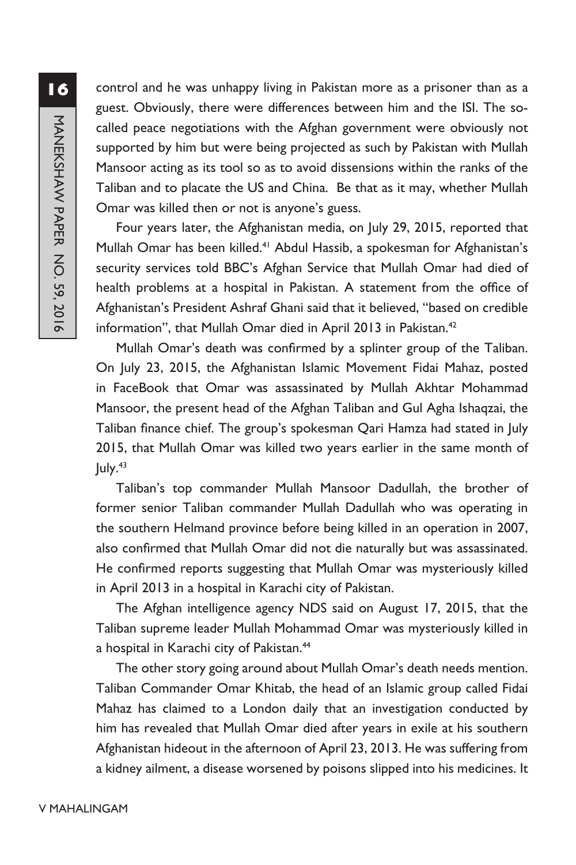control and he was unhappy living in Pakistan more as a prisoner than as a guest. Obviously, there were differences between him and the ISI. The socalled peace negotiations with the Afghan government were obviously not supported by him but were being projected as such by Pakistan with Mullah Mansoor acting as its tool so as to avoid dissensions within the ranks of the Taliban and to placate the US and China. Be that as it may, whether Mullah Omar was killed then or not is anyone's guess.

Four years later, the Afghanistan media, on July 29, 2015, reported that Mullah Omar has been killed.<sup>41</sup> Abdul Hassib, a spokesman for Afghanistan's security services told BBC's Afghan Service that Mullah Omar had died of health problems at a hospital in Pakistan. A statement from the office of Afghanistan's President Ashraf Ghani said that it believed, "based on credible information", that Mullah Omar died in April 2013 in Pakistan.<sup>42</sup>

Mullah Omar's death was confirmed by a splinter group of the Taliban. On July 23, 2015, the Afghanistan Islamic Movement Fidai Mahaz, posted in FaceBook that Omar was assassinated by Mullah Akhtar Mohammad Mansoor, the present head of the Afghan Taliban and Gul Agha Ishaqzai, the Taliban finance chief. The group's spokesman Qari Hamza had stated in July 2015, that Mullah Omar was killed two years earlier in the same month of  $|$ uly. $43$ 

Taliban's top commander Mullah Mansoor Dadullah, the brother of former senior Taliban commander Mullah Dadullah who was operating in the southern Helmand province before being killed in an operation in 2007, also confirmed that Mullah Omar did not die naturally but was assassinated. He confirmed reports suggesting that Mullah Omar was mysteriously killed in April 2013 in a hospital in Karachi city of Pakistan.

The Afghan intelligence agency NDS said on August 17, 2015, that the Taliban supreme leader Mullah Mohammad Omar was mysteriously killed in a hospital in Karachi city of Pakistan.<sup>44</sup>

The other story going around about Mullah Omar's death needs mention. Taliban Commander Omar Khitab, the head of an Islamic group called Fidai Mahaz has claimed to a London daily that an investigation conducted by him has revealed that Mullah Omar died after years in exile at his southern Afghanistan hideout in the afternoon of April 23, 2013. He was suffering from a kidney ailment, a disease worsened by poisons slipped into his medicines. It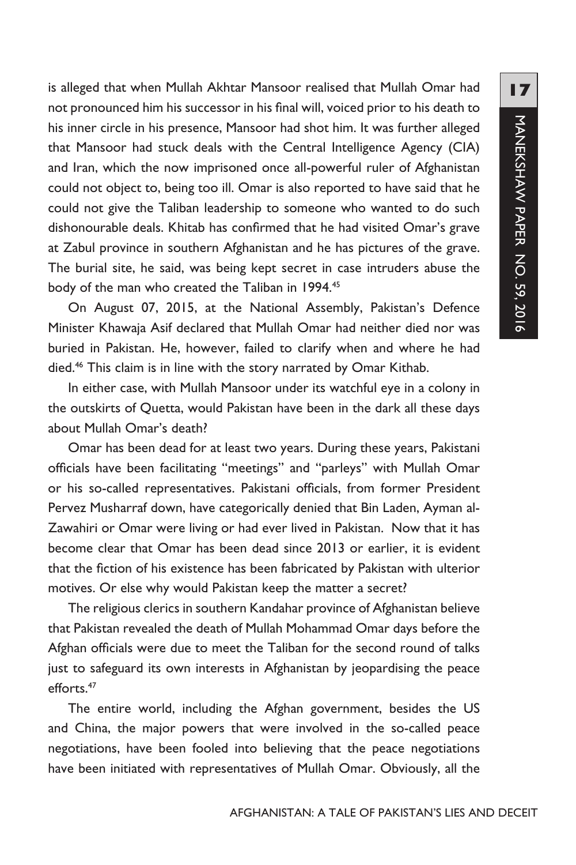is alleged that when Mullah Akhtar Mansoor realised that Mullah Omar had not pronounced him his successor in his final will, voiced prior to his death to his inner circle in his presence, Mansoor had shot him. It was further alleged that Mansoor had stuck deals with the Central Intelligence Agency (CIA) and Iran, which the now imprisoned once all-powerful ruler of Afghanistan could not object to, being too ill. Omar is also reported to have said that he could not give the Taliban leadership to someone who wanted to do such dishonourable deals. Khitab has confirmed that he had visited Omar's grave at Zabul province in southern Afghanistan and he has pictures of the grave. The burial site, he said, was being kept secret in case intruders abuse the body of the man who created the Taliban in 1994.<sup>45</sup>

On August 07, 2015, at the National Assembly, Pakistan's Defence Minister Khawaja Asif declared that Mullah Omar had neither died nor was buried in Pakistan. He, however, failed to clarify when and where he had died.46 This claim is in line with the story narrated by Omar Kithab.

In either case, with Mullah Mansoor under its watchful eye in a colony in the outskirts of Quetta, would Pakistan have been in the dark all these days about Mullah Omar's death?

Omar has been dead for at least two years. During these years, Pakistani officials have been facilitating "meetings" and "parleys" with Mullah Omar or his so-called representatives. Pakistani officials, from former President Pervez Musharraf down, have categorically denied that Bin Laden, Ayman al-Zawahiri or Omar were living or had ever lived in Pakistan. Now that it has become clear that Omar has been dead since 2013 or earlier, it is evident that the fiction of his existence has been fabricated by Pakistan with ulterior motives. Or else why would Pakistan keep the matter a secret?

The religious clerics in southern Kandahar province of Afghanistan believe that Pakistan revealed the death of Mullah Mohammad Omar days before the Afghan officials were due to meet the Taliban for the second round of talks just to safeguard its own interests in Afghanistan by jeopardising the peace efforts.47

The entire world, including the Afghan government, besides the US and China, the major powers that were involved in the so-called peace negotiations, have been fooled into believing that the peace negotiations have been initiated with representatives of Mullah Omar. Obviously, all the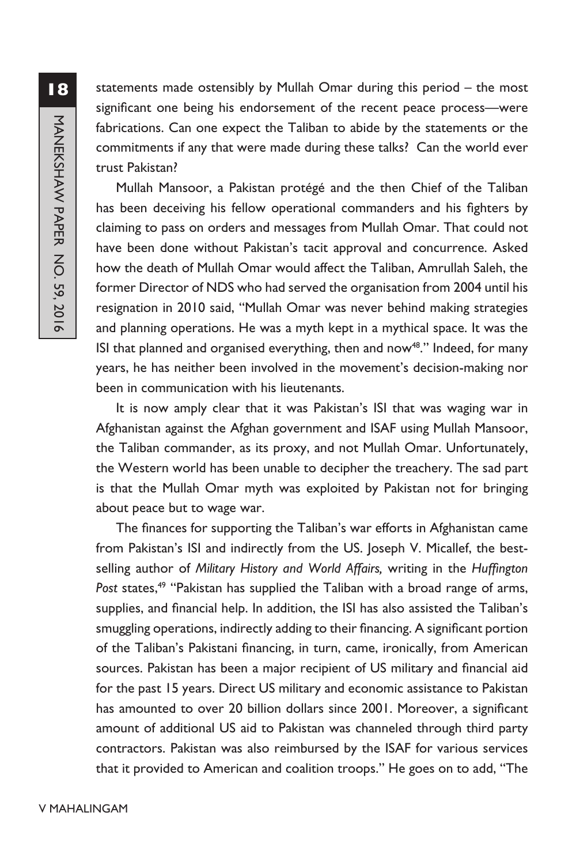statements made ostensibly by Mullah Omar during this period – the most significant one being his endorsement of the recent peace process—were fabrications. Can one expect the Taliban to abide by the statements or the commitments if any that were made during these talks? Can the world ever trust Pakistan?

Mullah Mansoor, a Pakistan protégé and the then Chief of the Taliban has been deceiving his fellow operational commanders and his fighters by claiming to pass on orders and messages from Mullah Omar. That could not have been done without Pakistan's tacit approval and concurrence. Asked how the death of Mullah Omar would affect the Taliban, Amrullah Saleh, the former Director of NDS who had served the organisation from 2004 until his resignation in 2010 said, "Mullah Omar was never behind making strategies and planning operations. He was a myth kept in a mythical space. It was the ISI that planned and organised everything, then and now<sup>48</sup>." Indeed, for many years, he has neither been involved in the movement's decision-making nor been in communication with his lieutenants.

It is now amply clear that it was Pakistan's ISI that was waging war in Afghanistan against the Afghan government and ISAF using Mullah Mansoor, the Taliban commander, as its proxy, and not Mullah Omar. Unfortunately, the Western world has been unable to decipher the treachery. The sad part is that the Mullah Omar myth was exploited by Pakistan not for bringing about peace but to wage war.

The finances for supporting the Taliban's war efforts in Afghanistan came from Pakistan's ISI and indirectly from the US. Joseph V. Micallef, the bestselling author of *Military History and World Affairs,* writing in the *Huffington*  Post states,<sup>49</sup> "Pakistan has supplied the Taliban with a broad range of arms, supplies, and financial help. In addition, the ISI has also assisted the Taliban's smuggling operations, indirectly adding to their financing. A significant portion of the Taliban's Pakistani financing, in turn, came, ironically, from American sources. Pakistan has been a major recipient of US military and financial aid for the past 15 years. Direct US military and economic assistance to Pakistan has amounted to over 20 billion dollars since 2001. Moreover, a significant amount of additional US aid to Pakistan was channeled through third party contractors. Pakistan was also reimbursed by the ISAF for various services that it provided to American and coalition troops." He goes on to add, "The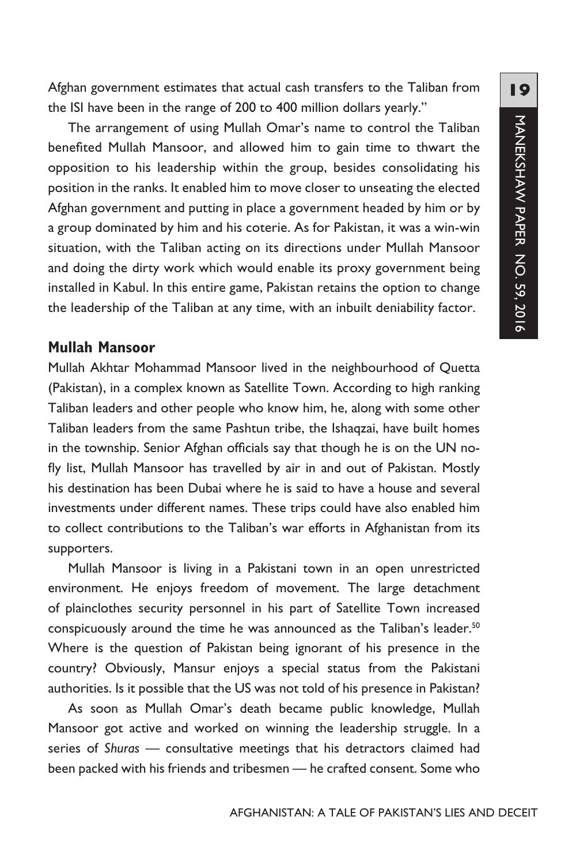Afghan government estimates that actual cash transfers to the Taliban from the ISI have been in the range of 200 to 400 million dollars yearly."

The arrangement of using Mullah Omar's name to control the Taliban benefited Mullah Mansoor, and allowed him to gain time to thwart the opposition to his leadership within the group, besides consolidating his position in the ranks. It enabled him to move closer to unseating the elected Afghan government and putting in place a government headed by him or by a group dominated by him and his coterie. As for Pakistan, it was a win-win situation, with the Taliban acting on its directions under Mullah Mansoor and doing the dirty work which would enable its proxy government being installed in Kabul. In this entire game, Pakistan retains the option to change the leadership of the Taliban at any time, with an inbuilt deniability factor.

#### **Mullah Mansoor**

Mullah Akhtar Mohammad Mansoor lived in the neighbourhood of Quetta (Pakistan), in a complex known as Satellite Town. According to high ranking Taliban leaders and other people who know him, he, along with some other Taliban leaders from the same Pashtun tribe, the Ishaqzai, have built homes in the township. Senior Afghan officials say that though he is on the UN nofly list, Mullah Mansoor has travelled by air in and out of Pakistan. Mostly his destination has been Dubai where he is said to have a house and several investments under different names. These trips could have also enabled him to collect contributions to the Taliban's war efforts in Afghanistan from its supporters.

Mullah Mansoor is living in a Pakistani town in an open unrestricted environment. He enjoys freedom of movement. The large detachment of plainclothes security personnel in his part of Satellite Town increased conspicuously around the time he was announced as the Taliban's leader.<sup>50</sup> Where is the question of Pakistan being ignorant of his presence in the country? Obviously, Mansur enjoys a special status from the Pakistani authorities. Is it possible that the US was not told of his presence in Pakistan?

As soon as Mullah Omar's death became public knowledge, Mullah Mansoor got active and worked on winning the leadership struggle. In a series of *Shuras* — consultative meetings that his detractors claimed had been packed with his friends and tribesmen — he crafted consent. Some who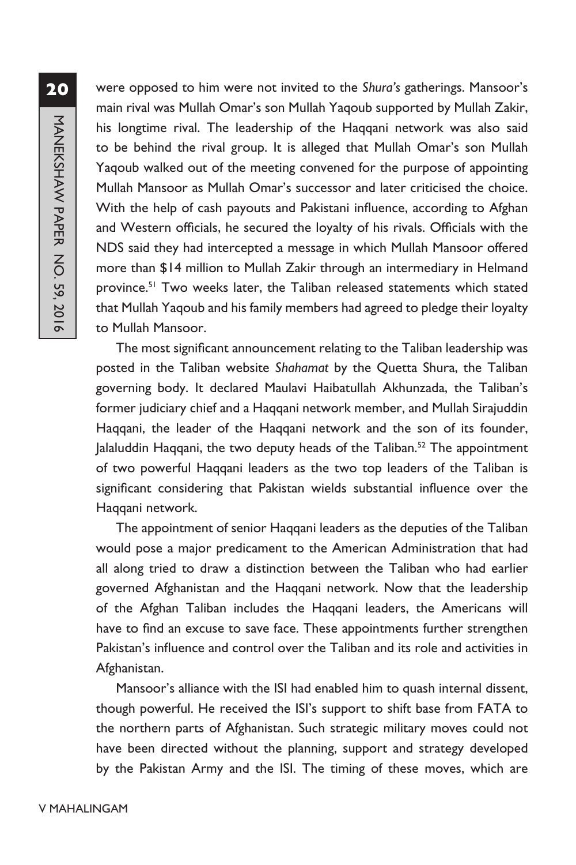were opposed to him were not invited to the *Shura's* gatherings. Mansoor's main rival was Mullah Omar's son Mullah Yaqoub supported by Mullah Zakir, his longtime rival. The leadership of the Haqqani network was also said to be behind the rival group. It is alleged that Mullah Omar's son Mullah Yaqoub walked out of the meeting convened for the purpose of appointing Mullah Mansoor as Mullah Omar's successor and later criticised the choice. With the help of cash payouts and Pakistani influence, according to Afghan and Western officials, he secured the loyalty of his rivals. Officials with the NDS said they had intercepted a message in which Mullah Mansoor offered more than \$14 million to Mullah Zakir through an intermediary in Helmand province.<sup>51</sup> Two weeks later, the Taliban released statements which stated that Mullah Yaqoub and his family members had agreed to pledge their loyalty to Mullah Mansoor.

The most significant announcement relating to the Taliban leadership was posted in the Taliban website *Shahamat* by the Quetta Shura, the Taliban governing body. It declared Maulavi Haibatullah Akhunzada, the Taliban's former judiciary chief and a Haqqani network member, and Mullah Sirajuddin Haqqani, the leader of the Haqqani network and the son of its founder, Jalaluddin Haqqani, the two deputy heads of the Taliban.<sup>52</sup> The appointment of two powerful Haqqani leaders as the two top leaders of the Taliban is significant considering that Pakistan wields substantial influence over the Haqqani network.

The appointment of senior Haqqani leaders as the deputies of the Taliban would pose a major predicament to the American Administration that had all along tried to draw a distinction between the Taliban who had earlier governed Afghanistan and the Haqqani network. Now that the leadership of the Afghan Taliban includes the Haqqani leaders, the Americans will have to find an excuse to save face. These appointments further strengthen Pakistan's influence and control over the Taliban and its role and activities in Afghanistan.

Mansoor's alliance with the ISI had enabled him to quash internal dissent, though powerful. He received the ISI's support to shift base from FATA to the northern parts of Afghanistan. Such strategic military moves could not have been directed without the planning, support and strategy developed by the Pakistan Army and the ISI. The timing of these moves, which are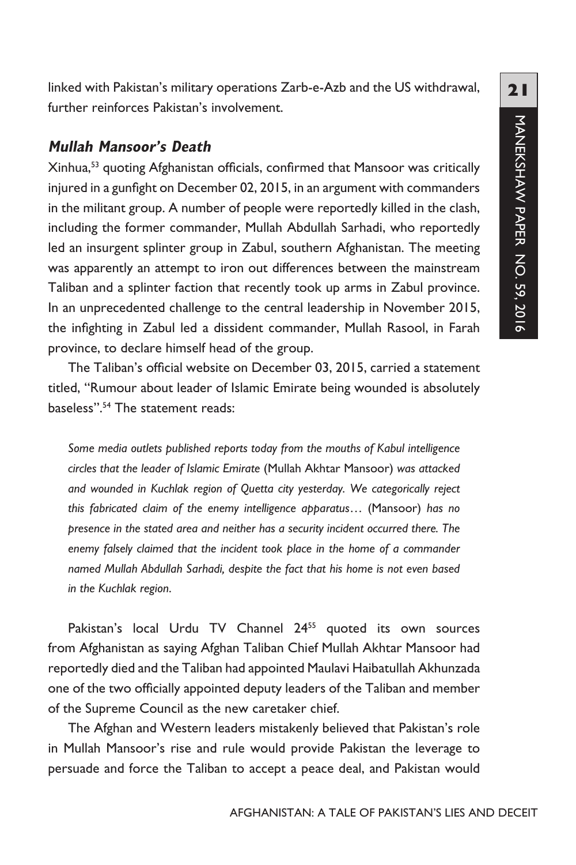linked with Pakistan's military operations Zarb-e-Azb and the US withdrawal, further reinforces Pakistan's involvement.

#### **Mullah Mansoor's Death**

Xinhua,53 quoting Afghanistan officials, confirmed that Mansoor was critically injured in a gunfight on December 02, 2015, in an argument with commanders in the militant group. A number of people were reportedly killed in the clash, including the former commander, Mullah Abdullah Sarhadi, who reportedly led an insurgent splinter group in Zabul, southern Afghanistan. The meeting was apparently an attempt to iron out differences between the mainstream Taliban and a splinter faction that recently took up arms in Zabul province. In an unprecedented challenge to the central leadership in November 2015, the infighting in Zabul led a dissident commander, Mullah Rasool, in Farah province, to declare himself head of the group.

The Taliban's official website on December 03, 2015, carried a statement titled, "Rumour about leader of Islamic Emirate being wounded is absolutely baseless".54 The statement reads:

*Some media outlets published reports today from the mouths of Kabul intelligence circles that the leader of Islamic Emirate* (Mullah Akhtar Mansoor) *was attacked and wounded in Kuchlak region of Quetta city yesterday. We categorically reject this fabricated claim of the enemy intelligence apparatus*… (Mansoor) *has no presence in the stated area and neither has a security incident occurred there. The enemy falsely claimed that the incident took place in the home of a commander named Mullah Abdullah Sarhadi, despite the fact that his home is not even based in the Kuchlak region*.

Pakistan's local Urdu TV Channel 24<sup>55</sup> quoted its own sources from Afghanistan as saying Afghan Taliban Chief Mullah Akhtar Mansoor had reportedly died and the Taliban had appointed Maulavi Haibatullah Akhunzada one of the two officially appointed deputy leaders of the Taliban and member of the Supreme Council as the new caretaker chief.

The Afghan and Western leaders mistakenly believed that Pakistan's role in Mullah Mansoor's rise and rule would provide Pakistan the leverage to persuade and force the Taliban to accept a peace deal, and Pakistan would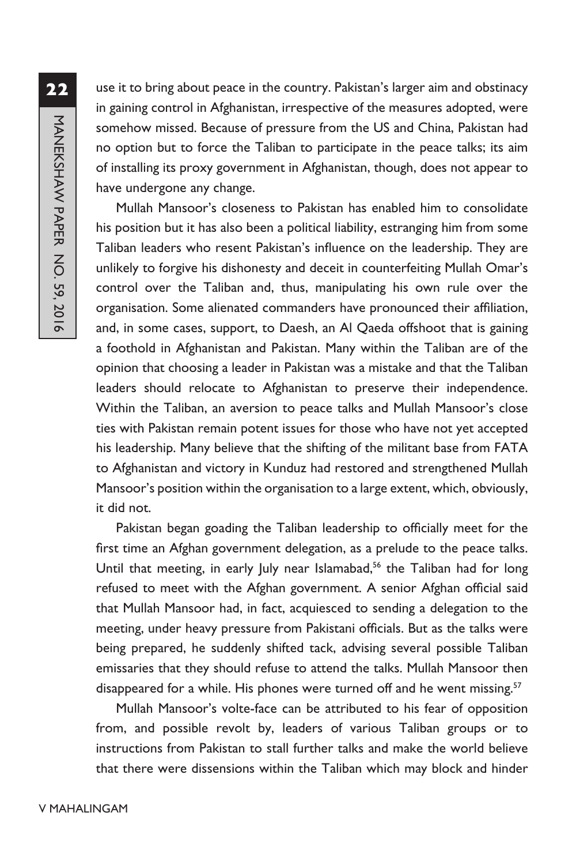use it to bring about peace in the country. Pakistan's larger aim and obstinacy in gaining control in Afghanistan, irrespective of the measures adopted, were somehow missed. Because of pressure from the US and China, Pakistan had no option but to force the Taliban to participate in the peace talks; its aim of installing its proxy government in Afghanistan, though, does not appear to have undergone any change.

Mullah Mansoor's closeness to Pakistan has enabled him to consolidate his position but it has also been a political liability, estranging him from some Taliban leaders who resent Pakistan's influence on the leadership. They are unlikely to forgive his dishonesty and deceit in counterfeiting Mullah Omar's control over the Taliban and, thus, manipulating his own rule over the organisation. Some alienated commanders have pronounced their affiliation, and, in some cases, support, to Daesh, an Al Qaeda offshoot that is gaining a foothold in Afghanistan and Pakistan. Many within the Taliban are of the opinion that choosing a leader in Pakistan was a mistake and that the Taliban leaders should relocate to Afghanistan to preserve their independence. Within the Taliban, an aversion to peace talks and Mullah Mansoor's close ties with Pakistan remain potent issues for those who have not yet accepted his leadership. Many believe that the shifting of the militant base from FATA to Afghanistan and victory in Kunduz had restored and strengthened Mullah Mansoor's position within the organisation to a large extent, which, obviously, it did not.

Pakistan began goading the Taliban leadership to officially meet for the first time an Afghan government delegation, as a prelude to the peace talks. Until that meeting, in early July near Islamabad,<sup>56</sup> the Taliban had for long refused to meet with the Afghan government. A senior Afghan official said that Mullah Mansoor had, in fact, acquiesced to sending a delegation to the meeting, under heavy pressure from Pakistani officials. But as the talks were being prepared, he suddenly shifted tack, advising several possible Taliban emissaries that they should refuse to attend the talks. Mullah Mansoor then disappeared for a while. His phones were turned off and he went missing.<sup>57</sup>

Mullah Mansoor's volte-face can be attributed to his fear of opposition from, and possible revolt by, leaders of various Taliban groups or to instructions from Pakistan to stall further talks and make the world believe that there were dissensions within the Taliban which may block and hinder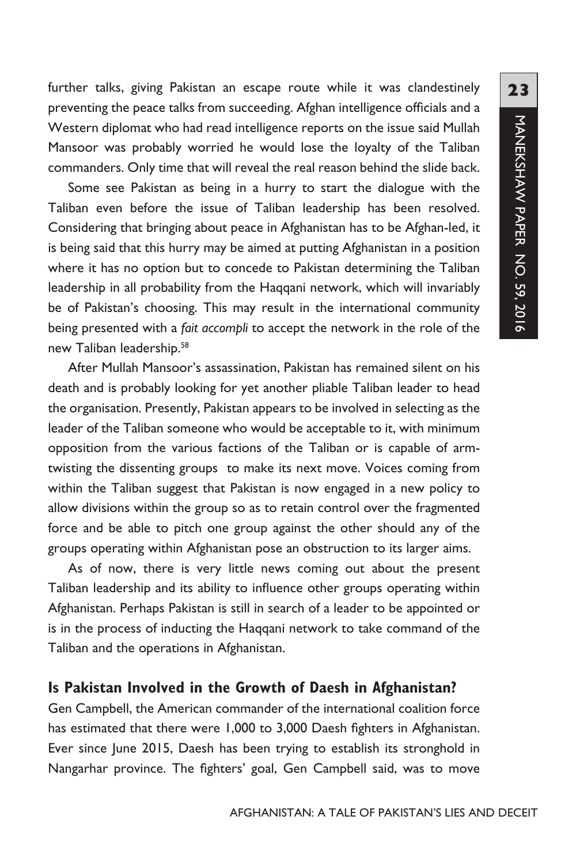further talks, giving Pakistan an escape route while it was clandestinely preventing the peace talks from succeeding. Afghan intelligence officials and a Western diplomat who had read intelligence reports on the issue said Mullah Mansoor was probably worried he would lose the loyalty of the Taliban commanders. Only time that will reveal the real reason behind the slide back.

Some see Pakistan as being in a hurry to start the dialogue with the Taliban even before the issue of Taliban leadership has been resolved. Considering that bringing about peace in Afghanistan has to be Afghan-led, it is being said that this hurry may be aimed at putting Afghanistan in a position where it has no option but to concede to Pakistan determining the Taliban leadership in all probability from the Haqqani network, which will invariably be of Pakistan's choosing. This may result in the international community being presented with a *fait accompli* to accept the network in the role of the new Taliban leadership.58

After Mullah Mansoor's assassination, Pakistan has remained silent on his death and is probably looking for yet another pliable Taliban leader to head the organisation. Presently, Pakistan appears to be involved in selecting as the leader of the Taliban someone who would be acceptable to it, with minimum opposition from the various factions of the Taliban or is capable of armtwisting the dissenting groups to make its next move. Voices coming from within the Taliban suggest that Pakistan is now engaged in a new policy to allow divisions within the group so as to retain control over the fragmented force and be able to pitch one group against the other should any of the groups operating within Afghanistan pose an obstruction to its larger aims.

As of now, there is very little news coming out about the present Taliban leadership and its ability to influence other groups operating within Afghanistan. Perhaps Pakistan is still in search of a leader to be appointed or is in the process of inducting the Haqqani network to take command of the Taliban and the operations in Afghanistan.

#### **Is Pakistan Involved in the Growth of Daesh in Afghanistan?**

Gen Campbell, the American commander of the international coalition force has estimated that there were 1,000 to 3,000 Daesh fighters in Afghanistan. Ever since June 2015, Daesh has been trying to establish its stronghold in Nangarhar province. The fighters' goal, Gen Campbell said, was to move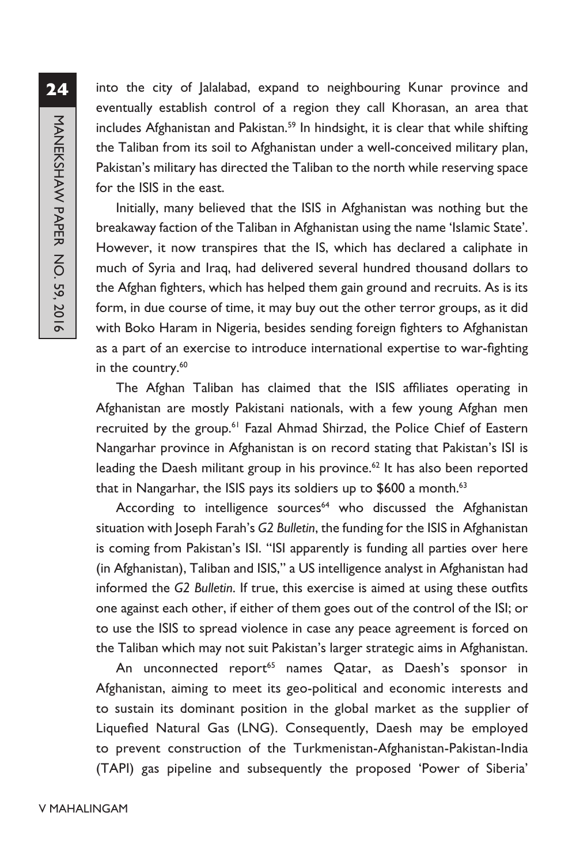into the city of Jalalabad, expand to neighbouring Kunar province and eventually establish control of a region they call Khorasan, an area that includes Afghanistan and Pakistan.<sup>59</sup> In hindsight, it is clear that while shifting the Taliban from its soil to Afghanistan under a well-conceived military plan, Pakistan's military has directed the Taliban to the north while reserving space for the ISIS in the east.

Initially, many believed that the ISIS in Afghanistan was nothing but the breakaway faction of the Taliban in Afghanistan using the name 'Islamic State'. However, it now transpires that the IS, which has declared a caliphate in much of Syria and Iraq, had delivered several hundred thousand dollars to the Afghan fighters, which has helped them gain ground and recruits. As is its form, in due course of time, it may buy out the other terror groups, as it did with Boko Haram in Nigeria, besides sending foreign fighters to Afghanistan as a part of an exercise to introduce international expertise to war-fighting in the country.<sup>60</sup>

The Afghan Taliban has claimed that the ISIS affiliates operating in Afghanistan are mostly Pakistani nationals, with a few young Afghan men recruited by the group.<sup>61</sup> Fazal Ahmad Shirzad, the Police Chief of Eastern Nangarhar province in Afghanistan is on record stating that Pakistan's ISI is leading the Daesh militant group in his province. $62$  It has also been reported that in Nangarhar, the ISIS pays its soldiers up to \$600 a month.<sup>63</sup>

According to intelligence sources<sup>64</sup> who discussed the Afghanistan situation with Joseph Farah's *G2 Bulletin*, the funding for the ISIS in Afghanistan is coming from Pakistan's ISI. "ISI apparently is funding all parties over here (in Afghanistan), Taliban and ISIS," a US intelligence analyst in Afghanistan had informed the *G2 Bulletin*. If true, this exercise is aimed at using these outfits one against each other, if either of them goes out of the control of the ISI; or to use the ISIS to spread violence in case any peace agreement is forced on the Taliban which may not suit Pakistan's larger strategic aims in Afghanistan.

An unconnected report<sup>65</sup> names Qatar, as Daesh's sponsor in Afghanistan, aiming to meet its geo-political and economic interests and to sustain its dominant position in the global market as the supplier of Liquefied Natural Gas (LNG). Consequently, Daesh may be employed to prevent construction of the Turkmenistan-Afghanistan-Pakistan-India (TAPI) gas pipeline and subsequently the proposed 'Power of Siberia'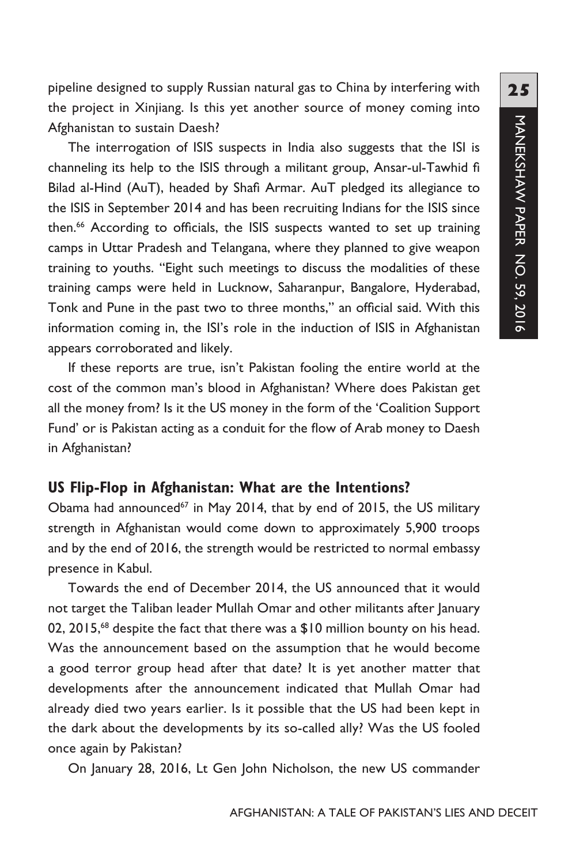pipeline designed to supply Russian natural gas to China by interfering with the project in Xinjiang. Is this yet another source of money coming into Afghanistan to sustain Daesh?

The interrogation of ISIS suspects in India also suggests that the ISI is channeling its help to the ISIS through a militant group, Ansar-ul-Tawhid fi Bilad al-Hind (AuT), headed by Shafi Armar. AuT pledged its allegiance to the ISIS in September 2014 and has been recruiting Indians for the ISIS since then.<sup>66</sup> According to officials, the ISIS suspects wanted to set up training camps in Uttar Pradesh and Telangana, where they planned to give weapon training to youths. "Eight such meetings to discuss the modalities of these training camps were held in Lucknow, Saharanpur, Bangalore, Hyderabad, Tonk and Pune in the past two to three months," an official said. With this information coming in, the ISI's role in the induction of ISIS in Afghanistan appears corroborated and likely.

If these reports are true, isn't Pakistan fooling the entire world at the cost of the common man's blood in Afghanistan? Where does Pakistan get all the money from? Is it the US money in the form of the 'Coalition Support Fund' or is Pakistan acting as a conduit for the flow of Arab money to Daesh in Afghanistan?

#### **US Flip-Flop in Afghanistan: What are the Intentions?**

Obama had announced<sup>67</sup> in May 2014, that by end of 2015, the US military strength in Afghanistan would come down to approximately 5,900 troops and by the end of 2016, the strength would be restricted to normal embassy presence in Kabul.

Towards the end of December 2014, the US announced that it would not target the Taliban leader Mullah Omar and other militants after January 02, 2015,<sup>68</sup> despite the fact that there was a \$10 million bounty on his head. Was the announcement based on the assumption that he would become a good terror group head after that date? It is yet another matter that developments after the announcement indicated that Mullah Omar had already died two years earlier. Is it possible that the US had been kept in the dark about the developments by its so-called ally? Was the US fooled once again by Pakistan?

On January 28, 2016, Lt Gen John Nicholson, the new US commander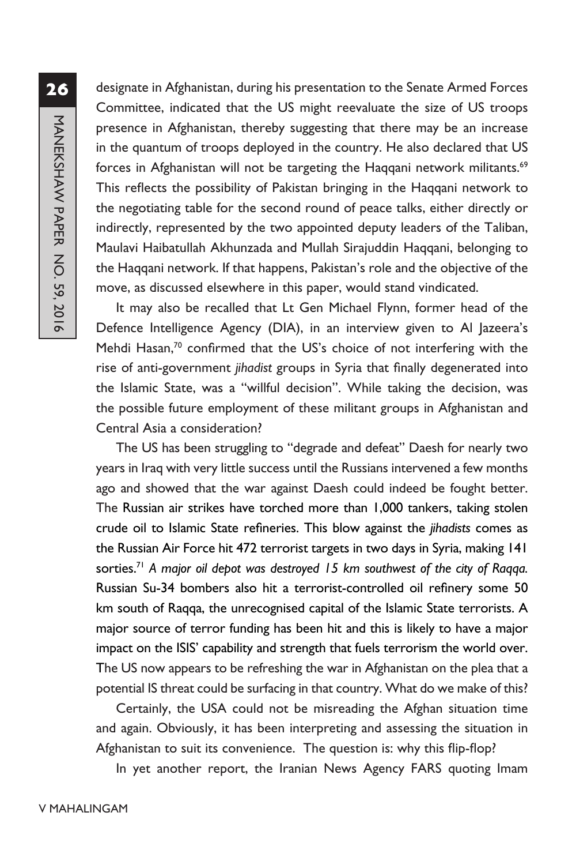**26**MANEKSHAW PAPER NO. 59, 2016 MANEKSHAW PAPER NO. 59, 2016

designate in Afghanistan, during his presentation to the Senate Armed Forces Committee, indicated that the US might reevaluate the size of US troops presence in Afghanistan, thereby suggesting that there may be an increase in the quantum of troops deployed in the country. He also declared that US forces in Afghanistan will not be targeting the Haqqani network militants.<sup>69</sup> This reflects the possibility of Pakistan bringing in the Haqqani network to the negotiating table for the second round of peace talks, either directly or indirectly, represented by the two appointed deputy leaders of the Taliban, Maulavi Haibatullah Akhunzada and Mullah Sirajuddin Haqqani, belonging to the Haqqani network. If that happens, Pakistan's role and the objective of the move, as discussed elsewhere in this paper, would stand vindicated.

It may also be recalled that Lt Gen Michael Flynn, former head of the Defence Intelligence Agency (DIA), in an interview given to Al Jazeera's Mehdi Hasan,<sup>70</sup> confirmed that the US's choice of not interfering with the rise of anti-government *jihadist* groups in Syria that finally degenerated into the Islamic State, was a "willful decision". While taking the decision, was the possible future employment of these militant groups in Afghanistan and Central Asia a consideration?

The US has been struggling to "degrade and defeat" Daesh for nearly two years in Iraq with very little success until the Russians intervened a few months ago and showed that the war against Daesh could indeed be fought better. The Russian air strikes have torched more than 1,000 tankers, taking stolen crude oil to Islamic State refineries. This blow against the *jihadists* comes as the Russian Air Force hit 472 terrorist targets in two days in Syria, making 141 sorties.<sup>71</sup> A major oil depot was destroyed 15 km southwest of the city of Raqqa. Russian Su-34 bombers also hit a terrorist-controlled oil refinery some 50 km south of Raqqa, the unrecognised capital of the Islamic State terrorists. A major source of terror funding has been hit and this is likely to have a major impact on the ISIS' capability and strength that fuels terrorism the world over. The US now appears to be refreshing the war in Afghanistan on the plea that a potential IS threat could be surfacing in that country. What do we make of this?

Certainly, the USA could not be misreading the Afghan situation time and again. Obviously, it has been interpreting and assessing the situation in Afghanistan to suit its convenience. The question is: why this flip-flop?

In yet another report, the Iranian News Agency FARS quoting Imam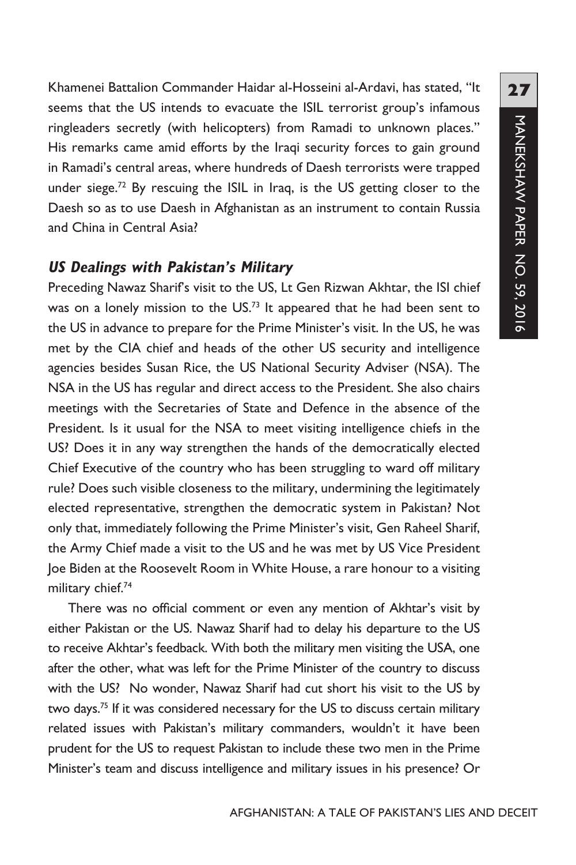Khamenei Battalion Commander Haidar al-Hosseini al-Ardavi, has stated, "It seems that the US intends to evacuate the ISIL terrorist group's infamous ringleaders secretly (with helicopters) from Ramadi to unknown places." His remarks came amid efforts by the Iraqi security forces to gain ground in Ramadi's central areas, where hundreds of Daesh terrorists were trapped under siege.<sup>72</sup> By rescuing the ISIL in Iraq, is the US getting closer to the Daesh so as to use Daesh in Afghanistan as an instrument to contain Russia and China in Central Asia?

# **US Dealings with Pakistan's Military**

Preceding Nawaz Sharif's visit to the US, Lt Gen Rizwan Akhtar, the ISI chief was on a lonely mission to the US.<sup>73</sup> It appeared that he had been sent to the US in advance to prepare for the Prime Minister's visit. In the US, he was met by the CIA chief and heads of the other US security and intelligence agencies besides Susan Rice, the US National Security Adviser (NSA). The NSA in the US has regular and direct access to the President. She also chairs meetings with the Secretaries of State and Defence in the absence of the President. Is it usual for the NSA to meet visiting intelligence chiefs in the US? Does it in any way strengthen the hands of the democratically elected Chief Executive of the country who has been struggling to ward off military rule? Does such visible closeness to the military, undermining the legitimately elected representative, strengthen the democratic system in Pakistan? Not only that, immediately following the Prime Minister's visit, Gen Raheel Sharif, the Army Chief made a visit to the US and he was met by US Vice President Joe Biden at the Roosevelt Room in White House, a rare honour to a visiting military chief.<sup>74</sup>

There was no official comment or even any mention of Akhtar's visit by either Pakistan or the US. Nawaz Sharif had to delay his departure to the US to receive Akhtar's feedback. With both the military men visiting the USA, one after the other, what was left for the Prime Minister of the country to discuss with the US? No wonder, Nawaz Sharif had cut short his visit to the US by two days.<sup>75</sup> If it was considered necessary for the US to discuss certain military related issues with Pakistan's military commanders, wouldn't it have been prudent for the US to request Pakistan to include these two men in the Prime Minister's team and discuss intelligence and military issues in his presence? Or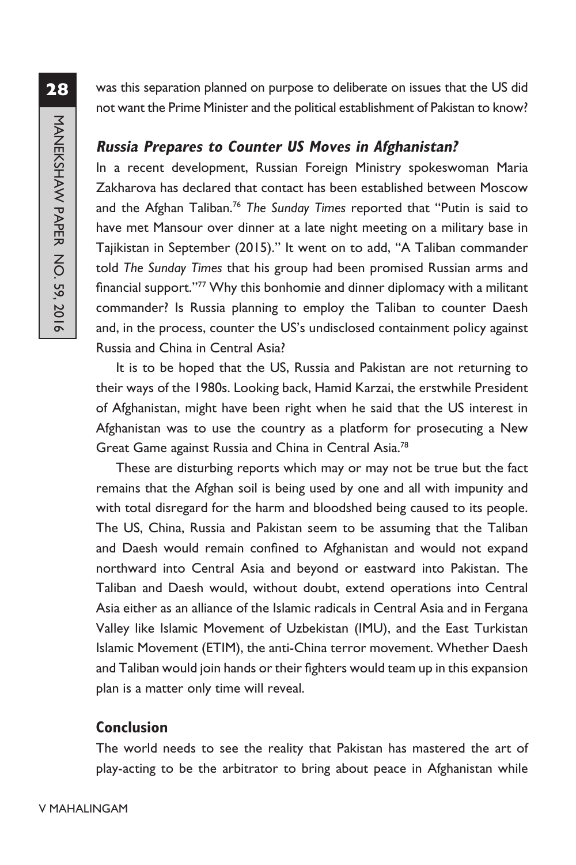was this separation planned on purpose to deliberate on issues that the US did not want the Prime Minister and the political establishment of Pakistan to know?

#### **Russia Prepares to Counter US Moves in Afghanistan?**

In a recent development, Russian Foreign Ministry spokeswoman Maria Zakharova has declared that contact has been established between Moscow and the Afghan Taliban.76 *The Sunday Times* reported that "Putin is said to have met Mansour over dinner at a late night meeting on a military base in Tajikistan in September (2015)." It went on to add, "A Taliban commander told *The Sunday Times* that his group had been promised Russian arms and financial support."<sup>77</sup> Why this bonhomie and dinner diplomacy with a militant commander? Is Russia planning to employ the Taliban to counter Daesh and, in the process, counter the US's undisclosed containment policy against Russia and China in Central Asia?

It is to be hoped that the US, Russia and Pakistan are not returning to their ways of the 1980s. Looking back, Hamid Karzai, the erstwhile President of Afghanistan, might have been right when he said that the US interest in Afghanistan was to use the country as a platform for prosecuting a New Great Game against Russia and China in Central Asia.78

These are disturbing reports which may or may not be true but the fact remains that the Afghan soil is being used by one and all with impunity and with total disregard for the harm and bloodshed being caused to its people. The US, China, Russia and Pakistan seem to be assuming that the Taliban and Daesh would remain confined to Afghanistan and would not expand northward into Central Asia and beyond or eastward into Pakistan. The Taliban and Daesh would, without doubt, extend operations into Central Asia either as an alliance of the Islamic radicals in Central Asia and in Fergana Valley like Islamic Movement of Uzbekistan (IMU), and the East Turkistan Islamic Movement (ETIM), the anti-China terror movement. Whether Daesh and Taliban would join hands or their fighters would team up in this expansion plan is a matter only time will reveal.

# **Conclusion**

The world needs to see the reality that Pakistan has mastered the art of play-acting to be the arbitrator to bring about peace in Afghanistan while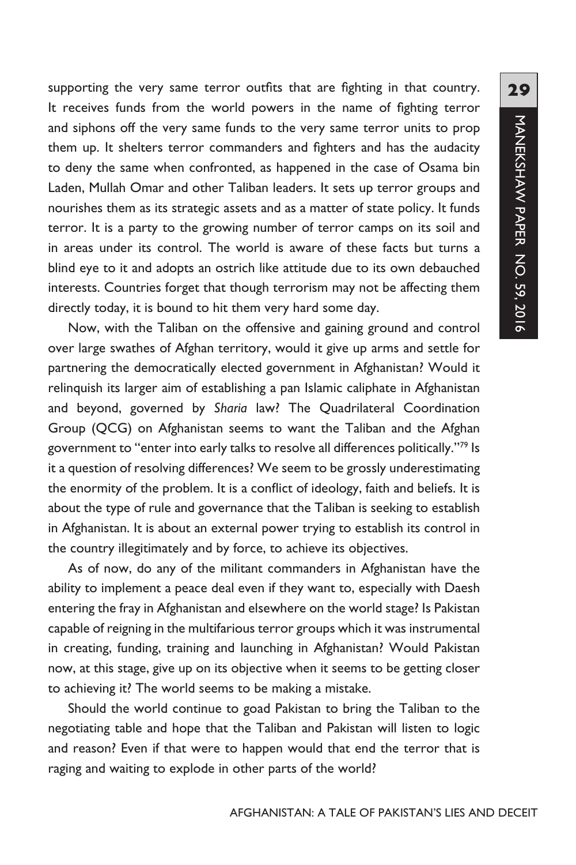supporting the very same terror outfits that are fighting in that country. It receives funds from the world powers in the name of fighting terror and siphons off the very same funds to the very same terror units to prop them up. It shelters terror commanders and fighters and has the audacity to deny the same when confronted, as happened in the case of Osama bin Laden, Mullah Omar and other Taliban leaders. It sets up terror groups and nourishes them as its strategic assets and as a matter of state policy. It funds terror. It is a party to the growing number of terror camps on its soil and in areas under its control. The world is aware of these facts but turns a blind eye to it and adopts an ostrich like attitude due to its own debauched interests. Countries forget that though terrorism may not be affecting them directly today, it is bound to hit them very hard some day.

Now, with the Taliban on the offensive and gaining ground and control over large swathes of Afghan territory, would it give up arms and settle for partnering the democratically elected government in Afghanistan? Would it relinquish its larger aim of establishing a pan Islamic caliphate in Afghanistan and beyond, governed by *Sharia* law? The Quadrilateral Coordination Group (QCG) on Afghanistan seems to want the Taliban and the Afghan government to "enter into early talks to resolve all differences politically."79 Is it a question of resolving differences? We seem to be grossly underestimating the enormity of the problem. It is a conflict of ideology, faith and beliefs. It is about the type of rule and governance that the Taliban is seeking to establish in Afghanistan. It is about an external power trying to establish its control in the country illegitimately and by force, to achieve its objectives.

As of now, do any of the militant commanders in Afghanistan have the ability to implement a peace deal even if they want to, especially with Daesh entering the fray in Afghanistan and elsewhere on the world stage? Is Pakistan capable of reigning in the multifarious terror groups which it was instrumental in creating, funding, training and launching in Afghanistan? Would Pakistan now, at this stage, give up on its objective when it seems to be getting closer to achieving it? The world seems to be making a mistake.

Should the world continue to goad Pakistan to bring the Taliban to the negotiating table and hope that the Taliban and Pakistan will listen to logic and reason? Even if that were to happen would that end the terror that is raging and waiting to explode in other parts of the world?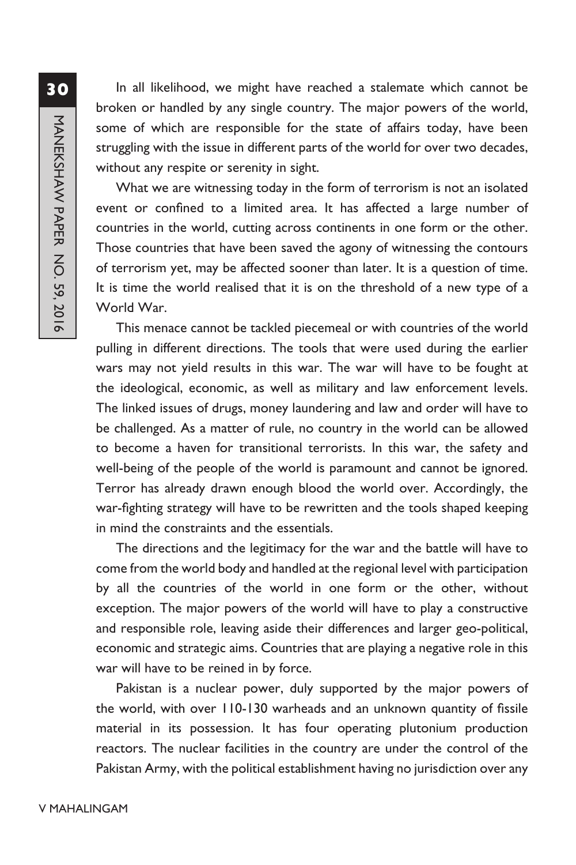In all likelihood, we might have reached a stalemate which cannot be broken or handled by any single country. The major powers of the world, some of which are responsible for the state of affairs today, have been struggling with the issue in different parts of the world for over two decades, without any respite or serenity in sight. What we are witnessing today in the form of terrorism is not an isolated

event or confined to a limited area. It has affected a large number of countries in the world, cutting across continents in one form or the other. Those countries that have been saved the agony of witnessing the contours of terrorism yet, may be affected sooner than later. It is a question of time. It is time the world realised that it is on the threshold of a new type of a World War.

This menace cannot be tackled piecemeal or with countries of the world pulling in different directions. The tools that were used during the earlier wars may not yield results in this war. The war will have to be fought at the ideological, economic, as well as military and law enforcement levels. The linked issues of drugs, money laundering and law and order will have to be challenged. As a matter of rule, no country in the world can be allowed to become a haven for transitional terrorists. In this war, the safety and well-being of the people of the world is paramount and cannot be ignored. Terror has already drawn enough blood the world over. Accordingly, the war-fighting strategy will have to be rewritten and the tools shaped keeping in mind the constraints and the essentials.

The directions and the legitimacy for the war and the battle will have to come from the world body and handled at the regional level with participation by all the countries of the world in one form or the other, without exception. The major powers of the world will have to play a constructive and responsible role, leaving aside their differences and larger geo-political, economic and strategic aims. Countries that are playing a negative role in this war will have to be reined in by force.

Pakistan is a nuclear power, duly supported by the major powers of the world, with over 110-130 warheads and an unknown quantity of fissile material in its possession. It has four operating plutonium production reactors. The nuclear facilities in the country are under the control of the Pakistan Army, with the political establishment having no jurisdiction over any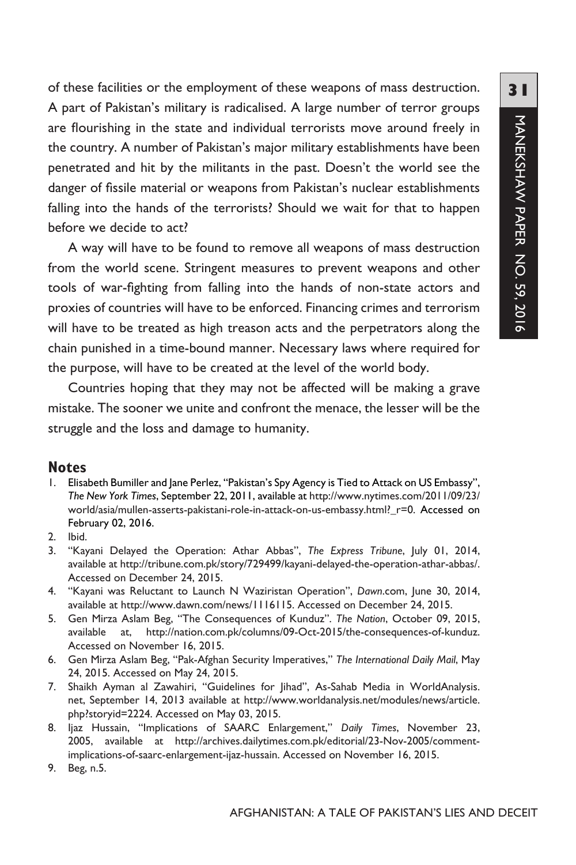of these facilities or the employment of these weapons of mass destruction. A part of Pakistan's military is radicalised. A large number of terror groups are flourishing in the state and individual terrorists move around freely in the country. A number of Pakistan's major military establishments have been penetrated and hit by the militants in the past. Doesn't the world see the danger of fissile material or weapons from Pakistan's nuclear establishments falling into the hands of the terrorists? Should we wait for that to happen before we decide to act?

A way will have to be found to remove all weapons of mass destruction from the world scene. Stringent measures to prevent weapons and other tools of war-fighting from falling into the hands of non-state actors and proxies of countries will have to be enforced. Financing crimes and terrorism will have to be treated as high treason acts and the perpetrators along the chain punished in a time-bound manner. Necessary laws where required for the purpose, will have to be created at the level of the world body.

Countries hoping that they may not be affected will be making a grave mistake. The sooner we unite and confront the menace, the lesser will be the struggle and the loss and damage to humanity.

#### **Notes**

- 1. Elisabeth Bumiller and Jane Perlez, "Pakistan's Spy Agency is Tied to Attack on US Embassy", *The New York Times*, September 22, 2011, available at http://www.nytimes.com/2011/09/23/ world/asia/mullen-asserts-pakistani-role-in-attack-on-us-embassy.html?\_r=0. Accessed on February 02, 2016.
- 2. Ibid.
- 3. "Kayani Delayed the Operation: Athar Abbas", *The Express Tribune*, July 01, 2014, available at http://tribune.com.pk/story/729499/kayani-delayed-the-operation-athar-abbas/. Accessed on December 24, 2015.
- 4. "Kayani was Reluctant to Launch N Waziristan Operation", *Dawn*.com, June 30, 2014, available at http://www.dawn.com/news/1116115. Accessed on December 24, 2015.
- 5. Gen Mirza Aslam Beg, "The Consequences of Kunduz". *The Nation*, October 09, 2015, available at, http://nation.com.pk/columns/09-Oct-2015/the-consequences-of-kunduz. Accessed on November 16, 2015.
- 6. Gen Mirza Aslam Beg, "Pak-Afghan Security Imperatives," *The International Daily Mail*, May 24, 2015. Accessed on May 24, 2015.
- 7. Shaikh Ayman al Zawahiri, "Guidelines for Jihad", As-Sahab Media in WorldAnalysis. net, September 14, 2013 available at http://www.worldanalysis.net/modules/news/article. php?storyid=2224. Accessed on May 03, 2015.
- 8. Ijaz Hussain, "Implications of SAARC Enlargement," *Daily Times*, November 23, 2005, available at http://archives.dailytimes.com.pk/editorial/23-Nov-2005/commentimplications-of-saarc-enlargement-ijaz-hussain. Accessed on November 16, 2015.
- 9. Beg, n.5.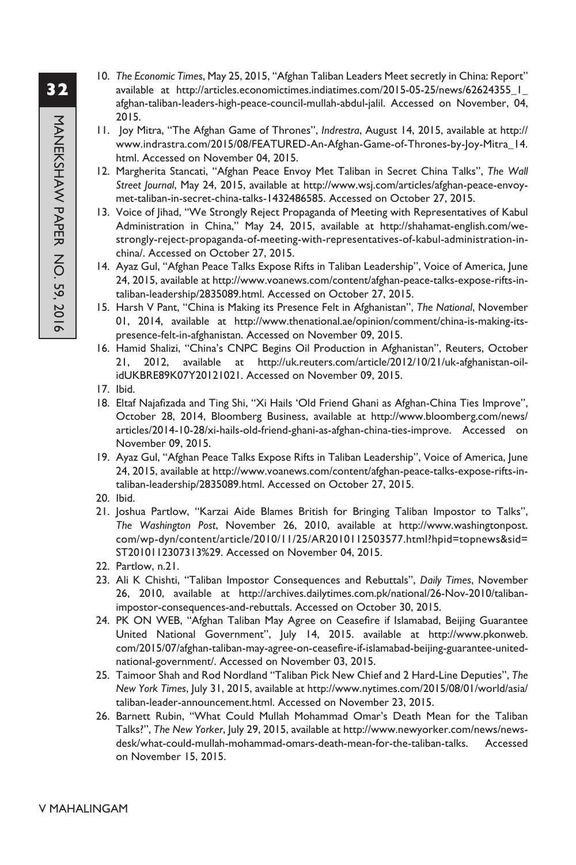- 10. *The Economic Times*, May 25, 2015, "Afghan Taliban Leaders Meet secretly in China: Report" available at http://articles.economictimes.indiatimes.com/2015-05-25/news/62624355\_1\_ afghan-taliban-leaders-high-peace-council-mullah-abdul-jalil. Accessed on November, 04, 2015.
- 11. Joy Mitra, "The Afghan Game of Thrones", *Indrestra*, August 14, 2015, available at http:// www.indrastra.com/2015/08/FEATURED-An-Afghan-Game-of-Thrones-by-Joy-Mitra\_14. html. Accessed on November 04, 2015.
- 12. Margherita Stancati, "Afghan Peace Envoy Met Taliban in Secret China Talks", *The Wall Street Journal*, May 24, 2015, available at http://www.wsj.com/articles/afghan-peace-envoymet-taliban-in-secret-china-talks-1432486585. Accessed on October 27, 2015.
- 13. Voice of Jihad, "We Strongly Reject Propaganda of Meeting with Representatives of Kabul Administration in China," May 24, 2015, available at http://shahamat-english.com/westrongly-reject-propaganda-of-meeting-with-representatives-of-kabul-administration-inchina/. Accessed on October 27, 2015.
- 14. Ayaz Gul, "Afghan Peace Talks Expose Rifts in Taliban Leadership", Voice of America, June 24, 2015, available at http://www.voanews.com/content/afghan-peace-talks-expose-rifts-intaliban-leadership/2835089.html. Accessed on October 27, 2015.
- 15. Harsh V Pant, "China is Making its Presence Felt in Afghanistan", *The National*, November 01, 2014, available at http://www.thenational.ae/opinion/comment/china-is-making-itspresence-felt-in-afghanistan. Accessed on November 09, 2015.
- 16. Hamid Shalizi, "China's CNPC Begins Oil Production in Afghanistan", Reuters, October 21, 2012, available at http://uk.reuters.com/article/2012/10/21/uk-afghanistan-oilidUKBRE89K07Y20121021. Accessed on November 09, 2015.
- 17. Ibid.
- 18. Eltaf Najafizada and Ting Shi, "Xi Hails 'Old Friend Ghani as Afghan-China Ties Improve", October 28, 2014, Bloomberg Business, available at http://www.bloomberg.com/news/ articles/2014-10-28/xi-hails-old-friend-ghani-as-afghan-china-ties-improve. Accessed on November 09, 2015.
- 19. Ayaz Gul, "Afghan Peace Talks Expose Rifts in Taliban Leadership", Voice of America, June 24, 2015, available at http://www.voanews.com/content/afghan-peace-talks-expose-rifts-intaliban-leadership/2835089.html. Accessed on October 27, 2015.
- 20. Ibid.
- 21. Joshua Partlow, "Karzai Aide Blames British for Bringing Taliban Impostor to Talks", *The Washington Post*, November 26, 2010, available at http://www.washingtonpost. com/wp-dyn/content/article/2010/11/25/AR2010112503577.html?hpid=topnews&sid= ST2010112307313%29. Accessed on November 04, 2015.
- 22. Partlow, n.21.
- 23. Ali K Chishti, "Taliban Impostor Consequences and Rebuttals", *Daily Times*, November 26, 2010, available at http://archives.dailytimes.com.pk/national/26-Nov-2010/talibanimpostor-consequences-and-rebuttals. Accessed on October 30, 2015.
- 24. PK ON WEB, "Afghan Taliban May Agree on Ceasefire if Islamabad, Beijing Guarantee United National Government", July 14, 2015. available at http://www.pkonweb. com/2015/07/afghan-taliban-may-agree-on-ceasefire-if-islamabad-beijing-guarantee-unitednational-government/. Accessed on November 03, 2015.
- 25. Taimoor Shah and Rod Nordland "Taliban Pick New Chief and 2 Hard-Line Deputies", *The New York Times*, July 31, 2015, available at http://www.nytimes.com/2015/08/01/world/asia/ taliban-leader-announcement.html. Accessed on November 23, 2015.
- 26. Barnett Rubin, "What Could Mullah Mohammad Omar's Death Mean for the Taliban Talks?", *The New Yorker*, July 29, 2015, available at http://www.newyorker.com/news/newsdesk/what-could-mullah-mohammad-omars-death-mean-for-the-taliban-talks. Accessed on November 15, 2015.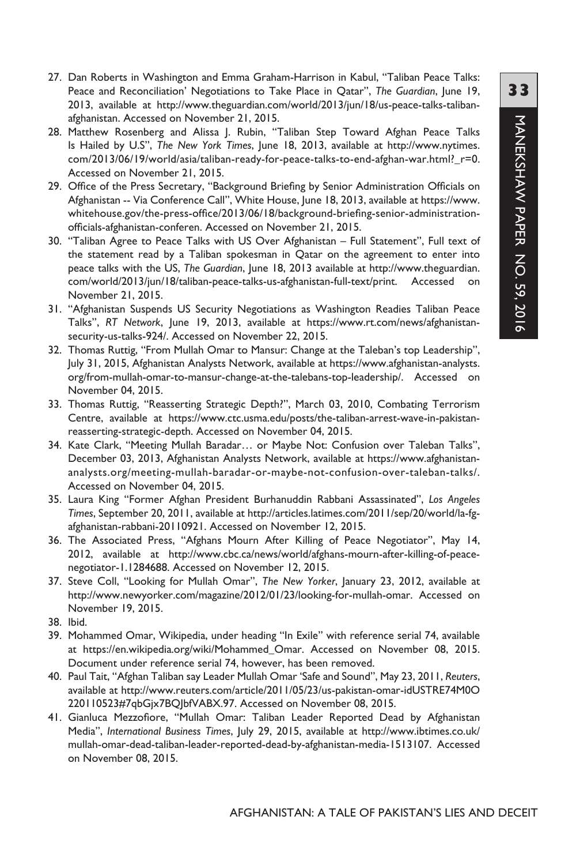- 27. Dan Roberts in Washington and Emma Graham-Harrison in Kabul, "Taliban Peace Talks: Peace and Reconciliation' Negotiations to Take Place in Qatar", *The Guardian*, June 19, 2013, available at http://www.theguardian.com/world/2013/jun/18/us-peace-talks-talibanafghanistan. Accessed on November 21, 2015.
- 28. Matthew Rosenberg and Alissa J. Rubin, "Taliban Step Toward Afghan Peace Talks Is Hailed by U.S", *The New York Times*, June 18, 2013, available at http://www.nytimes. com/2013/06/19/world/asia/taliban-ready-for-peace-talks-to-end-afghan-war.html?\_r=0. Accessed on November 21, 2015.
- 29. Office of the Press Secretary, "Background Briefing by Senior Administration Officials on Afghanistan -- Via Conference Call", White House, June 18, 2013, available at https://www. whitehouse.gov/the-press-office/2013/06/18/background-briefing-senior-administrationofficials-afghanistan-conferen. Accessed on November 21, 2015.
- 30. "Taliban Agree to Peace Talks with US Over Afghanistan Full Statement", Full text of the statement read by a Taliban spokesman in Qatar on the agreement to enter into peace talks with the US, *The Guardian*, June 18, 2013 available at http://www.theguardian. com/world/2013/jun/18/taliban-peace-talks-us-afghanistan-full-text/print. Accessed on November 21, 2015.
- 31. "Afghanistan Suspends US Security Negotiations as Washington Readies Taliban Peace Talks", *RT Network*, June 19, 2013, available at https://www.rt.com/news/afghanistansecurity-us-talks-924/. Accessed on November 22, 2015.
- 32. Thomas Ruttig, "From Mullah Omar to Mansur: Change at the Taleban's top Leadership", July 31, 2015, Afghanistan Analysts Network, available at https://www.afghanistan-analysts. org/from-mullah-omar-to-mansur-change-at-the-talebans-top-leadership/. Accessed on November 04, 2015.
- 33. Thomas Ruttig, "Reasserting Strategic Depth?", March 03, 2010, Combating Terrorism Centre, available at https://www.ctc.usma.edu/posts/the-taliban-arrest-wave-in-pakistanreasserting-strategic-depth. Accessed on November 04, 2015.
- 34. Kate Clark, "Meeting Mullah Baradar… or Maybe Not: Confusion over Taleban Talks", December 03, 2013, Afghanistan Analysts Network, available at https://www.afghanistananalysts.org/meeting-mullah-baradar-or-maybe-not-confusion-over-taleban-talks/. Accessed on November 04, 2015.
- 35. Laura King "Former Afghan President Burhanuddin Rabbani Assassinated", *Los Angeles Times*, September 20, 2011, available at http://articles.latimes.com/2011/sep/20/world/la-fgafghanistan-rabbani-20110921. Accessed on November 12, 2015.
- 36. The Associated Press, "Afghans Mourn After Killing of Peace Negotiator", May 14, 2012, available at http://www.cbc.ca/news/world/afghans-mourn-after-killing-of-peacenegotiator-1.1284688. Accessed on November 12, 2015.
- 37. Steve Coll, "Looking for Mullah Omar", *The New Yorker*, January 23, 2012, available at http://www.newyorker.com/magazine/2012/01/23/looking-for-mullah-omar. Accessed on November 19, 2015.
- 38. Ibid.
- 39. Mohammed Omar, Wikipedia, under heading "In Exile" with reference serial 74, available at https://en.wikipedia.org/wiki/Mohammed\_Omar. Accessed on November 08, 2015. Document under reference serial 74, however, has been removed.
- 40. Paul Tait, "Afghan Taliban say Leader Mullah Omar 'Safe and Sound", May 23, 2011, *Reuters*, available at http://www.reuters.com/article/2011/05/23/us-pakistan-omar-idUSTRE74M0O 220110523#7qbGjx7BQJbfVABX.97. Accessed on November 08, 2015.
- 41. Gianluca Mezzofiore, "Mullah Omar: Taliban Leader Reported Dead by Afghanistan Media", *International Business Times*, July 29, 2015, available at http://www.ibtimes.co.uk/ mullah-omar-dead-taliban-leader-reported-dead-by-afghanistan-media-1513107. Accessed on November 08, 2015.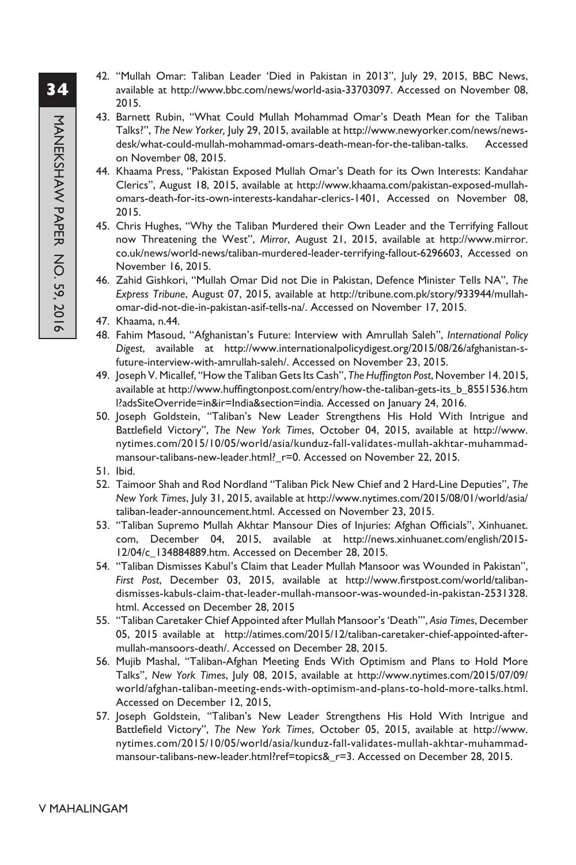- 42. "Mullah Omar: Taliban Leader 'Died in Pakistan in 2013", July 29, 2015, BBC News, available at http://www.bbc.com/news/world-asia-33703097. Accessed on November 08, 2015.
- 43. Barnett Rubin, "What Could Mullah Mohammad Omar's Death Mean for the Taliban Talks?", *The New Yorker,* July 29, 2015, available at http://www.newyorker.com/news/newsdesk/what-could-mullah-mohammad-omars-death-mean-for-the-taliban-talks. Accessed on November 08, 2015.
- 44. Khaama Press, "Pakistan Exposed Mullah Omar's Death for its Own Interests: Kandahar Clerics", August 18, 2015, available at http://www.khaama.com/pakistan-exposed-mullahomars-death-for-its-own-interests-kandahar-clerics-1401, Accessed on November 08, 2015.
- 45. Chris Hughes, "Why the Taliban Murdered their Own Leader and the Terrifying Fallout now Threatening the West", *Mirror*, August 21, 2015, available at http://www.mirror. co.uk/news/world-news/taliban-murdered-leader-terrifying-fallout-6296603, Accessed on November 16, 2015.
- 46. Zahid Gishkori, "Mullah Omar Did not Die in Pakistan, Defence Minister Tells NA", *The Express Tribune*, August 07, 2015, available at http://tribune.com.pk/story/933944/mullahomar-did-not-die-in-pakistan-asif-tells-na/. Accessed on November 17, 2015.
- 47. Khaama, n.44.
- 48. Fahim Masoud, "Afghanistan's Future: Interview with Amrullah Saleh", *International Policy Digest*, available at http://www.internationalpolicydigest.org/2015/08/26/afghanistan-sfuture-interview-with-amrullah-saleh/. Accessed on November 23, 2015.
- 49. Joseph V. Micallef, "How the Taliban Gets Its Cash", *The Huffington Post*, November 14. 2015, available at http://www.huffingtonpost.com/entry/how-the-taliban-gets-its\_b\_8551536.htm l?adsSiteOverride=in&ir=India&section=india. Accessed on January 24, 2016.
- 50. Joseph Goldstein, "Taliban's New Leader Strengthens His Hold With Intrigue and Battlefield Victory", *The New York Times*, October 04, 2015, available at http://www. nytimes.com/2015/10/05/world/asia/kunduz-fall-validates-mullah-akhtar-muhammadmansour-talibans-new-leader.html?\_r=0. Accessed on November 22, 2015.
- 51. Ibid.
- 52. Taimoor Shah and Rod Nordland "Taliban Pick New Chief and 2 Hard-Line Deputies", *The New York Times*, July 31, 2015, available at http://www.nytimes.com/2015/08/01/world/asia/ taliban-leader-announcement.html. Accessed on November 23, 2015.
- 53. "Taliban Supremo Mullah Akhtar Mansour Dies of Injuries: Afghan Officials", Xinhuanet. com, December 04, 2015, available at http://news.xinhuanet.com/english/2015- 12/04/c\_134884889.htm. Accessed on December 28, 2015.
- 54. "Taliban Dismisses Kabul's Claim that Leader Mullah Mansoor was Wounded in Pakistan", *First Post*, December 03, 2015, available at http://www.firstpost.com/world/talibandismisses-kabuls-claim-that-leader-mullah-mansoor-was-wounded-in-pakistan-2531328. html. Accessed on December 28, 2015
- 55. "Taliban Caretaker Chief Appointed after Mullah Mansoor's 'Death'", *Asia Times*, December 05, 2015 available at http://atimes.com/2015/12/taliban-caretaker-chief-appointed-aftermullah-mansoors-death/. Accessed on December 28, 2015.
- 56. Mujib Mashal, "Taliban-Afghan Meeting Ends With Optimism and Plans to Hold More Talks", *New York Times*, July 08, 2015, available at http://www.nytimes.com/2015/07/09/ world/afghan-taliban-meeting-ends-with-optimism-and-plans-to-hold-more-talks.html. Accessed on December 12, 2015,
- 57. Joseph Goldstein, "Taliban's New Leader Strengthens His Hold With Intrigue and Battlefield Victory", *The New York Times*, October 05, 2015, available at http://www. nytimes.com/2015/10/05/world/asia/kunduz-fall-validates-mullah-akhtar-muhammadmansour-talibans-new-leader.html?ref=topics&\_r=3. Accessed on December 28, 2015.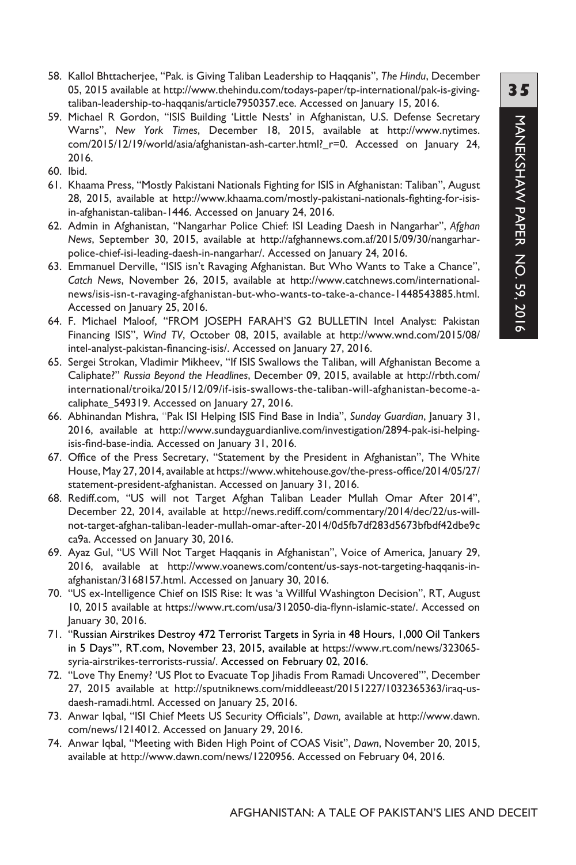- 58. Kallol Bhttacherjee, "Pak. is Giving Taliban Leadership to Haqqanis", *The Hindu*, December 05, 2015 available at http://www.thehindu.com/todays-paper/tp-international/pak-is-givingtaliban-leadership-to-haqqanis/article7950357.ece. Accessed on January 15, 2016.
- 59. Michael R Gordon, "ISIS Building 'Little Nests' in Afghanistan, U.S. Defense Secretary Warns", *New York Times*, December 18, 2015, available at http://www.nytimes. com/2015/12/19/world/asia/afghanistan-ash-carter.html?\_r=0. Accessed on January 24, 2016.
- 60. Ibid.
- 61. Khaama Press, "Mostly Pakistani Nationals Fighting for ISIS in Afghanistan: Taliban", August 28, 2015, available at http://www.khaama.com/mostly-pakistani-nationals-fighting-for-isisin-afghanistan-taliban-1446. Accessed on January 24, 2016.
- 62. Admin in Afghanistan, "Nangarhar Police Chief: ISI Leading Daesh in Nangarhar", *Afghan News*, September 30, 2015, available at http://afghannews.com.af/2015/09/30/nangarharpolice-chief-isi-leading-daesh-in-nangarhar/. Accessed on January 24, 2016.
- 63. Emmanuel Derville, "ISIS isn't Ravaging Afghanistan. But Who Wants to Take a Chance", *Catch News*, November 26, 2015, available at http://www.catchnews.com/internationalnews/isis-isn-t-ravaging-afghanistan-but-who-wants-to-take-a-chance-1448543885.html. Accessed on January 25, 2016.
- 64. F. Michael Maloof, "FROM JOSEPH FARAH'S G2 BULLETIN Intel Analyst: Pakistan Financing ISIS", *Wind TV*, October 08, 2015, available at http://www.wnd.com/2015/08/ intel-analyst-pakistan-financing-isis/. Accessed on January 27, 2016.
- 65. Sergei Strokan, Vladimir Mikheev, "If ISIS Swallows the Taliban, will Afghanistan Become a Caliphate?" *Russia Beyond the Headlines*, December 09, 2015, available at http://rbth.com/ international/troika/2015/12/09/if-isis-swallows-the-taliban-will-afghanistan-become-acaliphate\_549319. Accessed on January 27, 2016.
- 66. Abhinandan Mishra, "Pak ISI Helping ISIS Find Base in India", *Sunday Guardian*, January 31, 2016, available at http://www.sundayguardianlive.com/investigation/2894-pak-isi-helpingisis-find-base-india. Accessed on January 31, 2016.
- 67. Office of the Press Secretary, "Statement by the President in Afghanistan", The White House, May 27, 2014, available at https://www.whitehouse.gov/the-press-office/2014/05/27/ statement-president-afghanistan. Accessed on January 31, 2016.
- 68. Rediff.com, "US will not Target Afghan Taliban Leader Mullah Omar After 2014", December 22, 2014, available at http://news.rediff.com/commentary/2014/dec/22/us-willnot-target-afghan-taliban-leader-mullah-omar-after-2014/0d5fb7df283d5673bfbdf42dbe9c ca9a. Accessed on January 30, 2016.
- 69. Ayaz Gul, "US Will Not Target Haqqanis in Afghanistan", Voice of America, January 29, 2016, available at http://www.voanews.com/content/us-says-not-targeting-haqqanis-inafghanistan/3168157.html. Accessed on January 30, 2016.
- 70. "US ex-Intelligence Chief on ISIS Rise: It was 'a Willful Washington Decision", RT, August 10, 2015 available at https://www.rt.com/usa/312050-dia-flynn-islamic-state/. Accessed on January 30, 2016.
- 71. "Russian Airstrikes Destroy 472 Terrorist Targets in Syria in 48 Hours, 1,000 Oil Tankers in 5 Days'", RT.com, November 23, 2015, available at https://www.rt.com/news/323065 syria-airstrikes-terrorists-russia/. Accessed on February 02, 2016.
- 72. "Love Thy Enemy? 'US Plot to Evacuate Top Jihadis From Ramadi Uncovered'", December 27, 2015 available at http://sputniknews.com/middleeast/20151227/1032365363/iraq-usdaesh-ramadi.html. Accessed on January 25, 2016.
- 73. Anwar Iqbal, "ISI Chief Meets US Security Officials", *Dawn,* available at http://www.dawn. com/news/1214012. Accessed on January 29, 2016.
- 74. Anwar Iqbal, "Meeting with Biden High Point of COAS Visit", *Dawn*, November 20, 2015, available at http://www.dawn.com/news/1220956. Accessed on February 04, 2016.